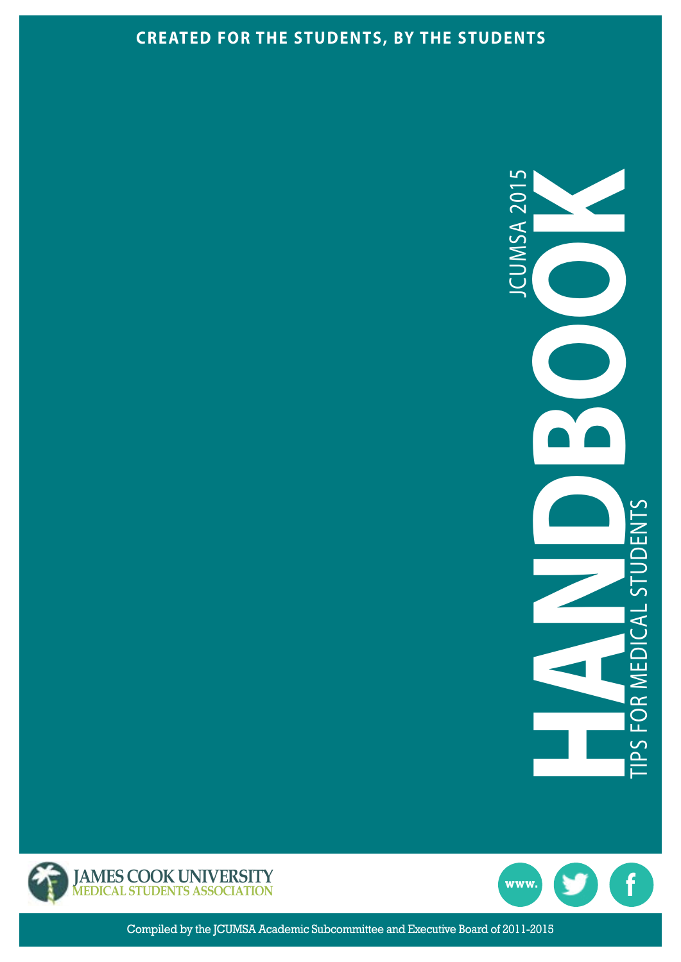#### **CREATED FOR THE STUDENTS, BY THE STUDENTS**







Compiled by the JCUMSA Academic Subcommittee and Executive Board of 2011-2015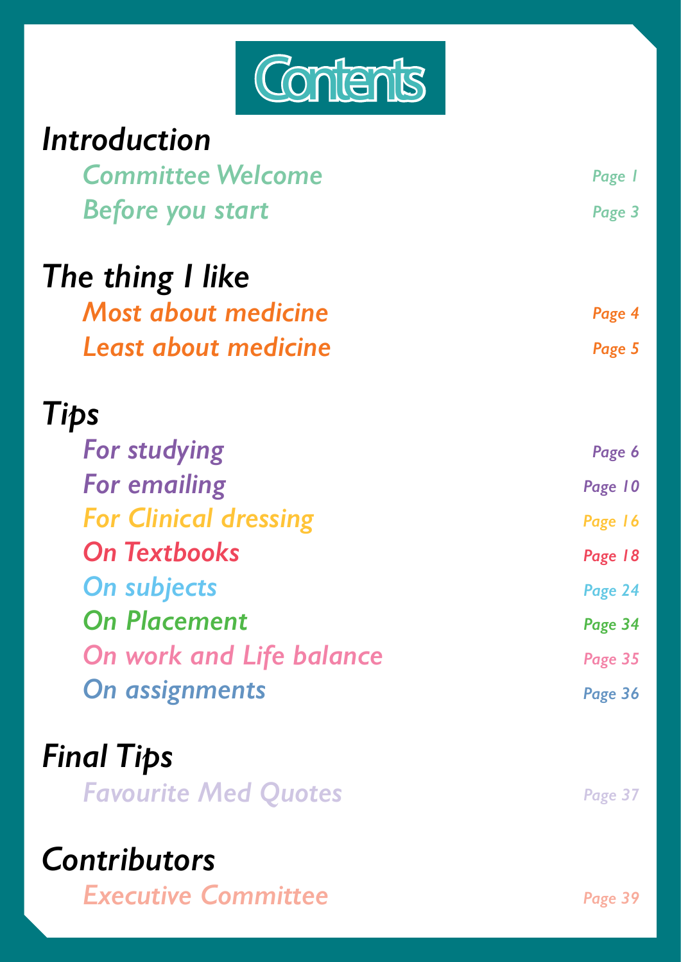

| Introduction                    |         |
|---------------------------------|---------|
| <b>Committee Welcome</b>        | Page 1  |
| <b>Before you start</b>         | Page 3  |
| The thing I like                |         |
| <b>Most about medicine</b>      | Page 4  |
| <b>Least about medicine</b>     | Page 5  |
| Tips                            |         |
| <b>For studying</b>             | Page 6  |
| <b>For emailing</b>             | Page 10 |
| <b>For Clinical dressing</b>    | Page 16 |
| <b>On Textbooks</b>             | Page 18 |
| <b>On subjects</b>              | Page 24 |
| <b>On Placement</b>             | Page 34 |
| <b>On work and Life balance</b> | Page 35 |
| <b>On assignments</b>           | Page 36 |
| <b>Final Tips</b>               |         |
| <b>Favourite Med Quotes</b>     | Page 37 |

### *Contributors*

*Executive [Committee](#page-41-0)*

*[Page](#page-41-0) 39*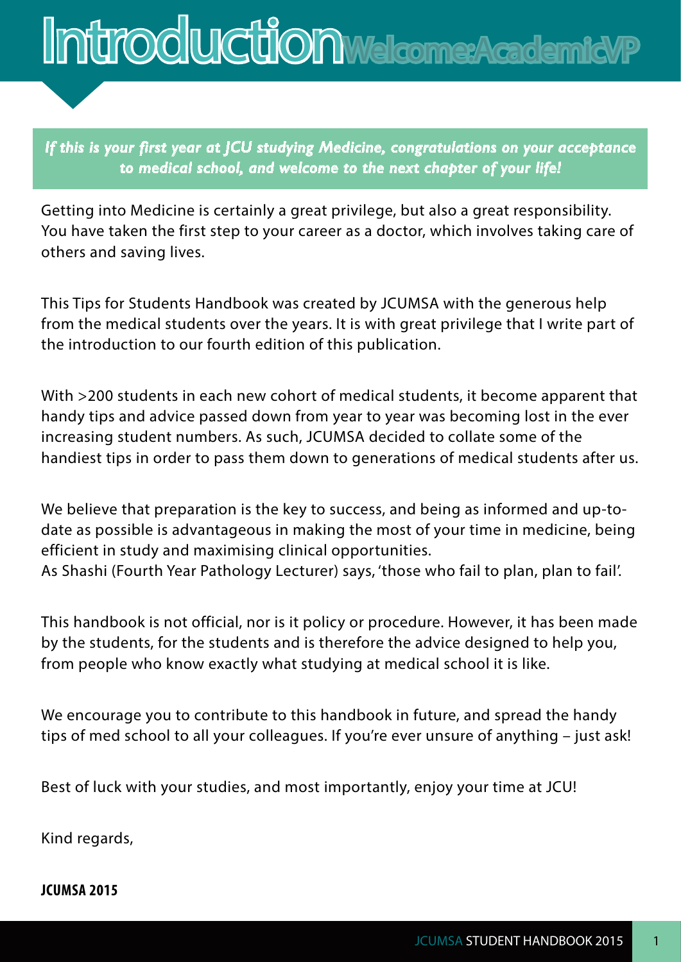<span id="page-3-0"></span>

*If this is your first year at JCU studying Medicine, congratulations on your acceptance to medical school, and welcome to the next chapter of your life!*

Getting into Medicine is certainly a great privilege, but also a great responsibility. You have taken the first step to your career as a doctor, which involves taking care of others and saving lives.

This Tips for Students Handbook was created by JCUMSA with the generous help from the medical students over the years. It is with great privilege that I write part of the introduction to our fourth edition of this publication.

With >200 students in each new cohort of medical students, it become apparent that handy tips and advice passed down from year to year was becoming lost in the ever increasing student numbers. As such, JCUMSA decided to collate some of the handiest tips in order to pass them down to generations of medical students after us.

We believe that preparation is the key to success, and being as informed and up-todate as possible is advantageous in making the most of your time in medicine, being efficient in study and maximising clinical opportunities. As Shashi (Fourth Year Pathology Lecturer) says, 'those who fail to plan, plan to fail'.

This handbook is not official, nor is it policy or procedure. However, it has been made by the students, for the students and is therefore the advice designed to help you, from people who know exactly what studying at medical school it is like.

We encourage you to contribute to this handbook in future, and spread the handy tips of med school to all your colleagues. If you're ever unsure of anything – just ask!

Best of luck with your studies, and most importantly, enjoy your time at JCU!

Kind regards,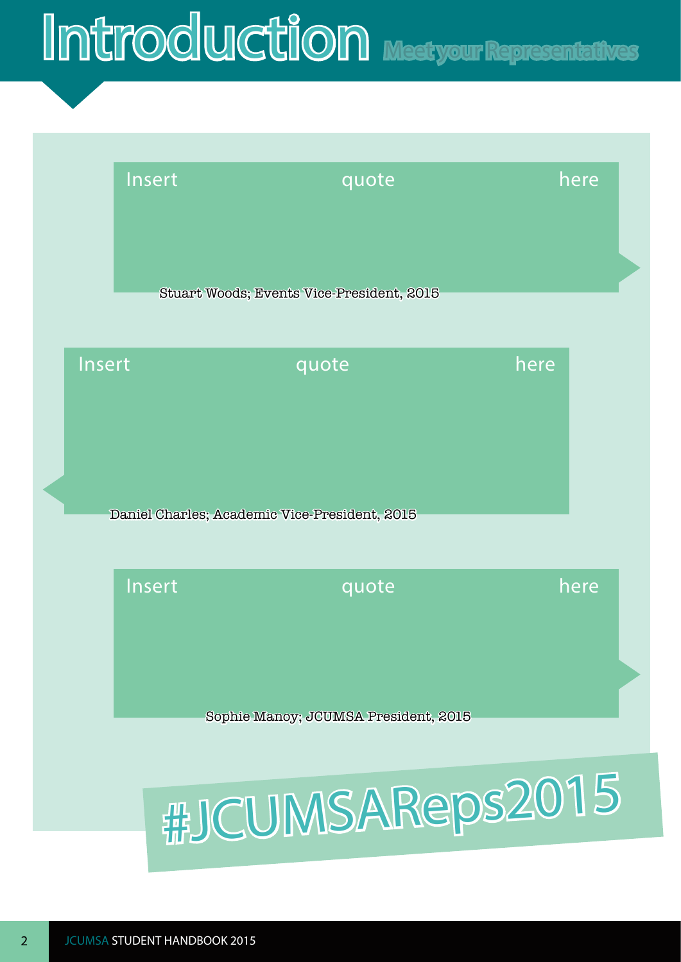### Introduction Meet your Representatives



# #JCUMSAReps2015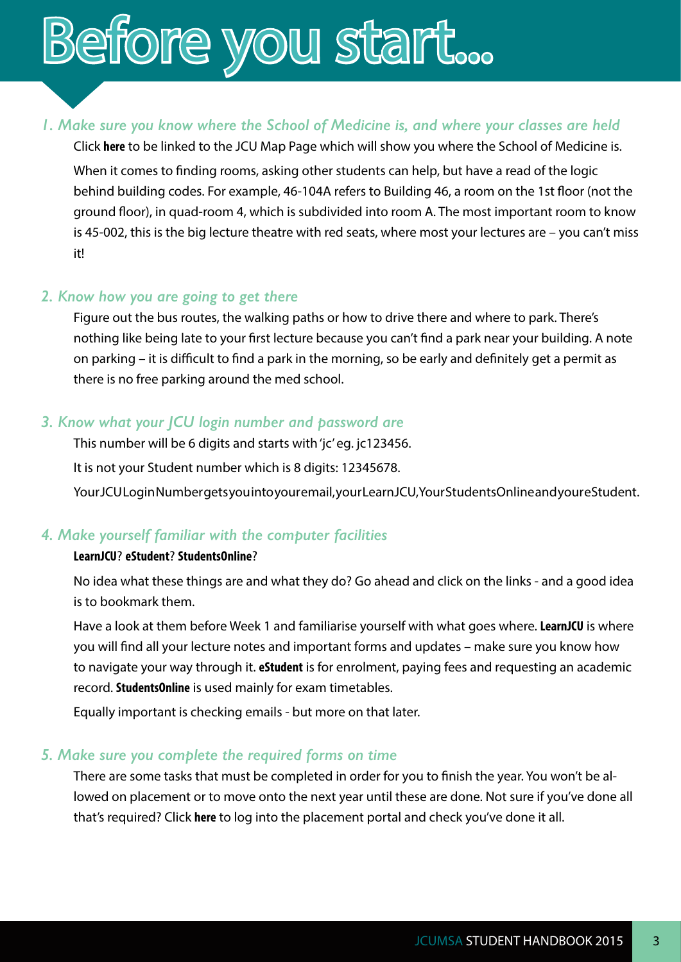### <span id="page-5-0"></span>Before you start...

#### *1. Make sure you know where the School of Medicine is, and where your classes are held*

Click **[here](http://www.jcu.edu.au/maps/)** to be linked to the JCU Map Page which will show you where the School of Medicine is. When it comes to finding rooms, asking other students can help, but have a read of the logic behind building codes. For example, 46-104A refers to Building 46, a room on the 1st floor (not the ground floor), in quad-room 4, which is subdivided into room A. The most important room to know is 45-002, this is the big lecture theatre with red seats, where most your lectures are – you can't miss it!

#### *2. Know how you are going to get there*

Figure out the bus routes, the walking paths or how to drive there and where to park. There's nothing like being late to your first lecture because you can't find a park near your building. A note on parking – it is difficult to find a park in the morning, so be early and definitely get a permit as there is no free parking around the med school.

#### *3. Know what your JCU login number and password are*

This number will be 6 digits and starts with 'jc' eg. jc123456. It is not your Student number which is 8 digits: 12345678. Your JCU Login Number gets you into your email, your LearnJCU, Your Students Online and your eStudent.

#### *4. Make yourself familiar with the computer facilities*

#### **[LearnJCU](https://learnjcu.jcu.edu.au/webapps/portal/frameset.jsp)**? **[eStudent](https://secure.jcu.edu.au/eStudent/login.aspx?ReturnUrl=%2feStudent%2fDefault.aspx)**? **[StudentsOnline](https://secure.jcu.edu.au/studentsonline/?fuseaction=login&redirect=%2Fstudentsonline%2Findex%2Ecfm)**?

No idea what these things are and what they do? Go ahead and click on the links - and a good idea is to bookmark them.

Have a look at them before Week 1 and familiarise yourself with what goes where. **[LearnJCU](https://learnjcu.jcu.edu.au/webapps/portal/frameset.jsp)** is where you will find all your lecture notes and important forms and updates – make sure you know how to navigate your way through it. **eStudent** is for enrolment, paying fees and requesting an academic record. **StudentsOnline** is used mainly for exam timetables.

Equally important is checking emails - but more on that later.

#### *5. Make sure you complete the required forms on time*

There are some tasks that must be completed in order for you to finish the year. You won't be allowed on placement or to move onto the next year until these are done. Not sure if you've done all that's required? Click **[here](https://fmhmsapps.jcu.edu.au/Placements/frmLogin.aspx)** to log into the placement portal and check you've done it all.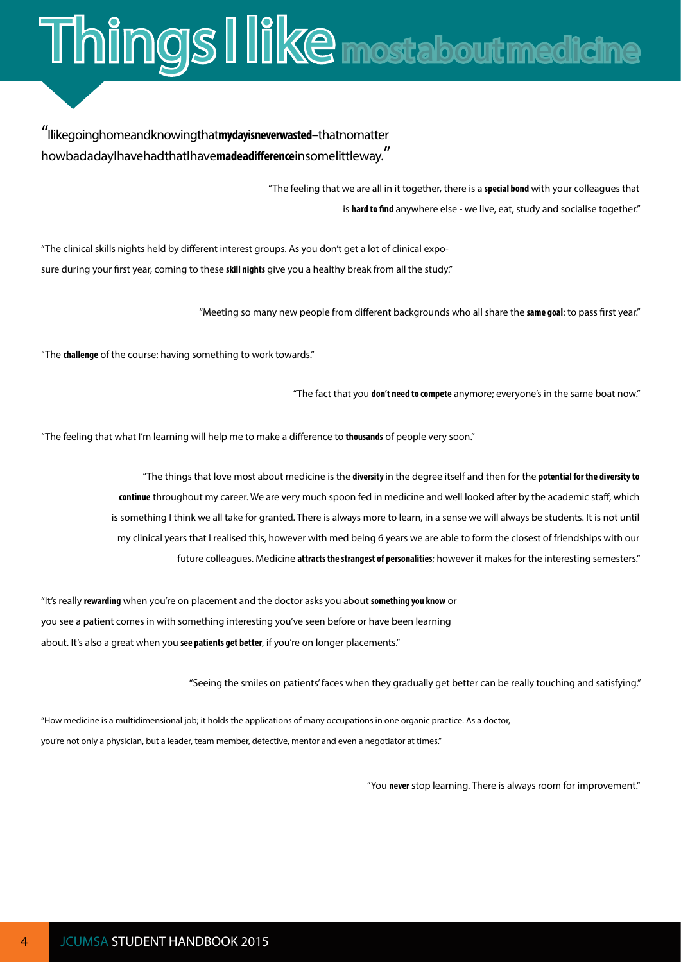# <span id="page-6-0"></span>**Things I like most about medicine**

#### "Ilike going home and knowing that my day is never wasted – that nomatter how bad a day I have had that I have made a difference in some little way."

"The feeling that we are all in it together, there is a **special bond** with your colleagues that is **hard to find** anywhere else - we live, eat, study and socialise together."

"The clinical skills nights held by different interest groups. As you don't get a lot of clinical exposure during your first year, coming to these **skill nights** give you a healthy break from all the study."

"Meeting so many new people from different backgrounds who all share the **same goal**: to pass first year."

"The **challenge** of the course: having something to work towards."

"The fact that you **don't need to compete** anymore; everyone's in the same boat now."

"The feeling that what I'm learning will help me to make a difference to **thousands** of people very soon."

"The things that love most about medicine is the **diversity** in the degree itself and then for the **potential for the diversity to continue** throughout my career. We are very much spoon fed in medicine and well looked after by the academic staff, which is something I think we all take for granted. There is always more to learn, in a sense we will always be students. It is not until my clinical years that I realised this, however with med being 6 years we are able to form the closest of friendships with our future colleagues. Medicine **attracts the strangest of personalities**; however it makes for the interesting semesters."

"It's really **rewarding** when you're on placement and the doctor asks you about **something you know** or you see a patient comes in with something interesting you've seen before or have been learning about. It's also a great when you **see patients get better**, if you're on longer placements."

"Seeing the smiles on patients' faces when they gradually get better can be really touching and satisfying."

"How medicine is a multidimensional job; it holds the applications of many occupations in one organic practice. As a doctor, you're not only a physician, but a leader, team member, detective, mentor and even a negotiator at times."

"You **never** stop learning. There is always room for improvement."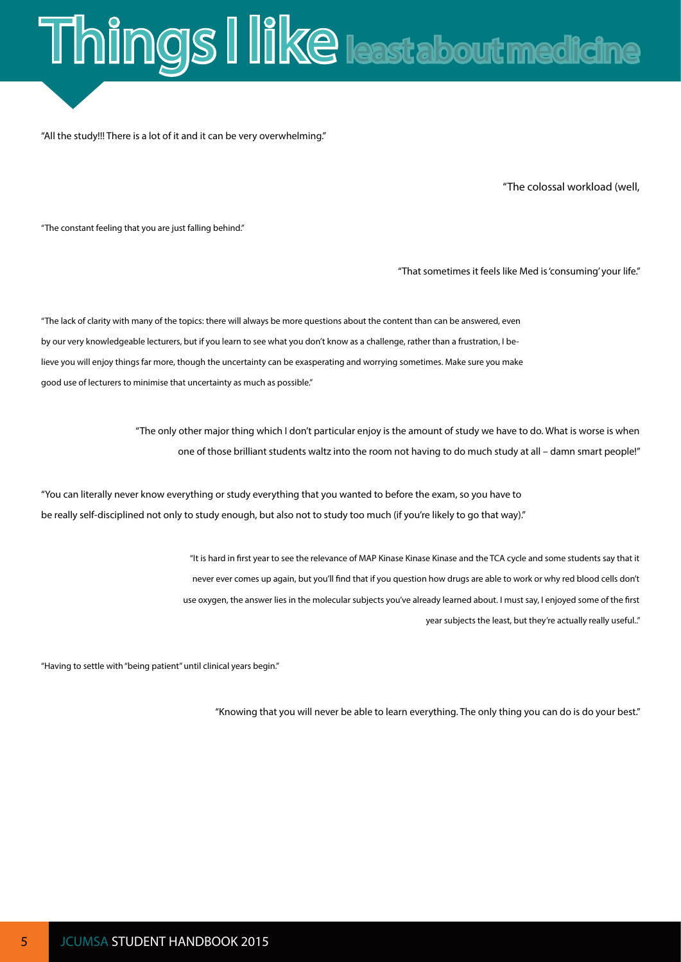# <span id="page-7-0"></span>Things I like least about medicine

"All the study!!! There is a lot of it and it can be very overwhelming."

"The colossal workload (well,

"The constant feeling that you are just falling behind."

"That sometimes it feels like Med is 'consuming' your life."

"The lack of clarity with many of the topics: there will always be more questions about the content than can be answered, even by our very knowledgeable lecturers, but if you learn to see what you don't know as a challenge, rather than a frustration, I believe you will enjoy things far more, though the uncertainty can be exasperating and worrying sometimes. Make sure you make good use of lecturers to minimise that uncertainty as much as possible."

> "The only other major thing which I don't particular enjoy is the amount of study we have to do. What is worse is when one of those brilliant students waltz into the room not having to do much study at all – damn smart people!"

"You can literally never know everything or study everything that you wanted to before the exam, so you have to be really self-disciplined not only to study enough, but also not to study too much (if you're likely to go that way)."

> "It is hard in first year to see the relevance of MAP Kinase Kinase Kinase and the TCA cycle and some students say that it never ever comes up again, but you'll find that if you question how drugs are able to work or why red blood cells don't use oxygen, the answer lies in the molecular subjects you've already learned about. I must say, I enjoyed some of the first year subjects the least, but they're actually really useful.."

"Having to settle with "being patient" until clinical years begin."

"Knowing that you will never be able to learn everything. The only thing you can do is do your best."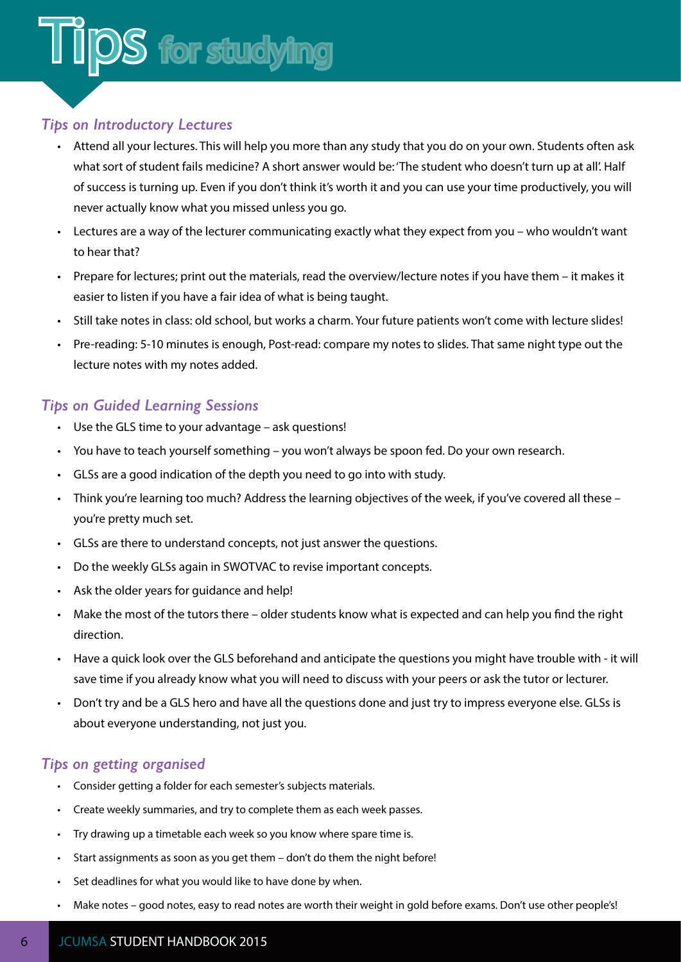#### <span id="page-8-0"></span>*Tips on Introductory Lectures*

- Attend all your lectures. This will help you more than any study that you do on your own. Students often ask what sort of student fails medicine? A short answer would be: 'The student who doesn't turn up at all'. Half of success is turning up. Even if you don't think it's worth it and you can use your time productively, you will never actually know what you missed unless you go.
- Lectures are a way of the lecturer communicating exactly what they expect from you who wouldn't want to hear that?
- Prepare for lectures; print out the materials, read the overview/lecture notes if you have them it makes it easier to listen if you have a fair idea of what is being taught.
- Still take notes in class: old school, but works a charm. Your future patients won't come with lecture slides!
- Pre-reading: 5-10 minutes is enough, Post-read: compare my notes to slides. That same night type out the lecture notes with my notes added.

#### *Tips on Guided Learning Sessions*

- Use the GLS time to your advantage ask questions!
- You have to teach yourself something you won't always be spoon fed. Do your own research.
- GLSs are a good indication of the depth you need to go into with study.
- Think you're learning too much? Address the learning objectives of the week, if you've covered all these you're pretty much set.
- GLSs are there to understand concepts, not just answer the questions.
- Do the weekly GLSs again in SWOTVAC to revise important concepts.
- Ask the older years for guidance and help!
- Make the most of the tutors there older students know what is expected and can help you find the right direction.
- Have a quick look over the GLS beforehand and anticipate the questions you might have trouble with it will save time if you already know what you will need to discuss with your peers or ask the tutor or lecturer.
- Don't try and be a GLS hero and have all the questions done and just try to impress everyone else. GLSs is about everyone understanding, not just you.

#### *Tips on getting organised*

- Consider getting a folder for each semester's subjects materials.
- Create weekly summaries, and try to complete them as each week passes.
- Try drawing up a timetable each week so you know where spare time is.
- Start assignments as soon as you get them don't do them the night before!
- Set deadlines for what you would like to have done by when.
- Make notes good notes, easy to read notes are worth their weight in gold before exams. Don't use other people's!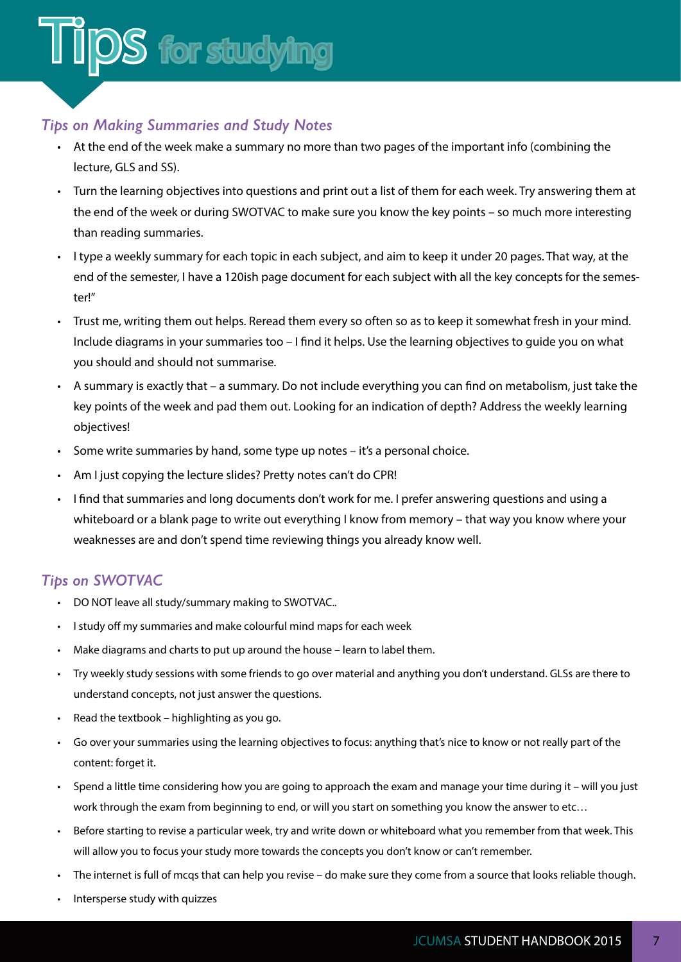#### *Tips on Making Summaries and Study Notes*

- At the end of the week make a summary no more than two pages of the important info (combining the lecture, GLS and SS).
- Turn the learning objectives into questions and print out a list of them for each week. Try answering them at the end of the week or during SWOTVAC to make sure you know the key points – so much more interesting than reading summaries.
- I type a weekly summary for each topic in each subject, and aim to keep it under 20 pages. That way, at the end of the semester, I have a 120ish page document for each subject with all the key concepts for the semester!"
- Trust me, writing them out helps. Reread them every so often so as to keep it somewhat fresh in your mind. Include diagrams in your summaries too – I find it helps. Use the learning objectives to guide you on what you should and should not summarise.
- A summary is exactly that a summary. Do not include everything you can find on metabolism, just take the key points of the week and pad them out. Looking for an indication of depth? Address the weekly learning objectives!
- Some write summaries by hand, some type up notes it's a personal choice.
- Am I just copying the lecture slides? Pretty notes can't do CPR!
- I find that summaries and long documents don't work for me. I prefer answering questions and using a whiteboard or a blank page to write out everything I know from memory – that way you know where your weaknesses are and don't spend time reviewing things you already know well.

#### *Tips on SWOTVAC*

- DO NOT leave all study/summary making to SWOTVAC..
- I study off my summaries and make colourful mind maps for each week
- Make diagrams and charts to put up around the house learn to label them.
- Try weekly study sessions with some friends to go over material and anything you don't understand. GLSs are there to understand concepts, not just answer the questions.
- Read the textbook highlighting as you go.
- Go over your summaries using the learning objectives to focus: anything that's nice to know or not really part of the content: forget it.
- Spend a little time considering how you are going to approach the exam and manage your time during it will you just work through the exam from beginning to end, or will you start on something you know the answer to etc…
- Before starting to revise a particular week, try and write down or whiteboard what you remember from that week. This will allow you to focus your study more towards the concepts you don't know or can't remember.
- The internet is full of mcqs that can help you revise do make sure they come from a source that looks reliable though.
- Intersperse study with quizzes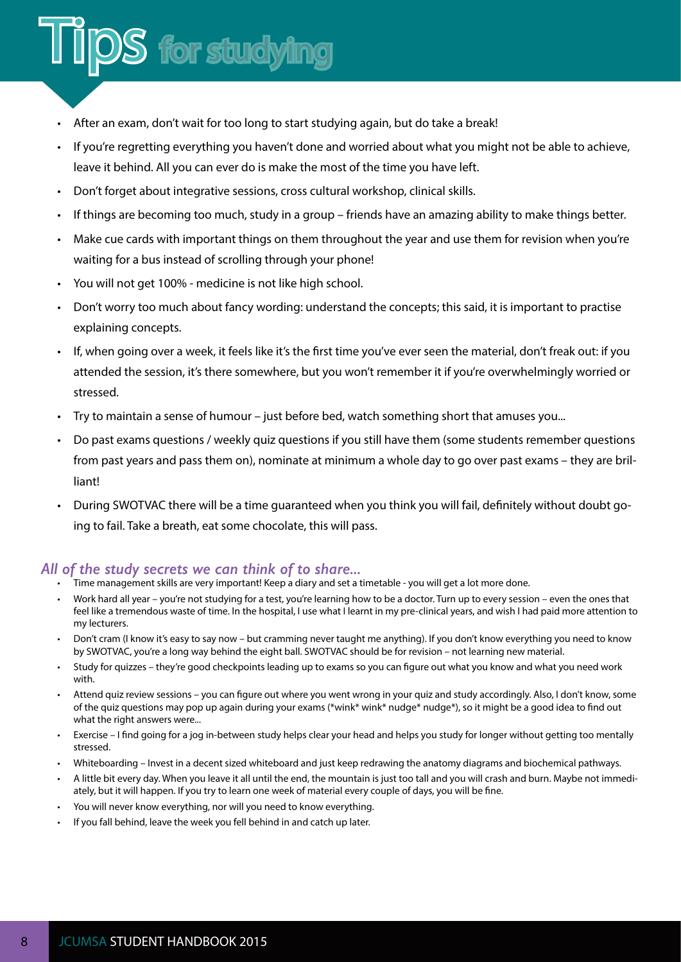#### • After an exam, don't wait for too long to start studying again, but do take a break!

S for studying

- If you're regretting everything you haven't done and worried about what you might not be able to achieve. leave it behind. All you can ever do is make the most of the time you have left.
- Don't forget about integrative sessions, cross cultural workshop, clinical skills.
- If things are becoming too much, study in a group friends have an amazing ability to make things better.
- Make cue cards with important things on them throughout the year and use them for revision when you're waiting for a bus instead of scrolling through your phone!
- You will not get 100% medicine is not like high school.
- Don't worry too much about fancy wording: understand the concepts; this said, it is important to practise explaining concepts.
- If, when going over a week, it feels like it's the first time you've ever seen the material, don't freak out: if you attended the session, it's there somewhere, but you won't remember it if you're overwhelmingly worried or stressed.
- Try to maintain a sense of humour just before bed, watch something short that amuses you...
- Do past exams questions / weekly quiz questions if you still have them (some students remember questions from past years and pass them on), nominate at minimum a whole day to go over past exams – they are brilliant!
- During SWOTVAC there will be a time guaranteed when you think you will fail, definitely without doubt going to fail. Take a breath, eat some chocolate, this will pass.

#### *All of the study secrets we can think of to share...*

- Time management skills are very important! Keep a diary and set a timetable you will get a lot more done.
- Work hard all year you're not studying for a test, you're learning how to be a doctor. Turn up to every session even the ones that feel like a tremendous waste of time. In the hospital, I use what I learnt in my pre-clinical years, and wish I had paid more attention to my lecturers.
- Don't cram (I know it's easy to say now but cramming never taught me anything). If you don't know everything you need to know by SWOTVAC, you're a long way behind the eight ball. SWOTVAC should be for revision – not learning new material.
- Study for quizzes they're good checkpoints leading up to exams so you can figure out what you know and what you need work with.
- Attend quiz review sessions you can figure out where you went wrong in your quiz and study accordingly. Also, I don't know, some of the quiz questions may pop up again during your exams (\*wink\* wink\* nudge\* nudge\*), so it might be a good idea to find out what the right answers were...
- Exercise I find going for a jog in-between study helps clear your head and helps you study for longer without getting too mentally stressed.
- Whiteboarding Invest in a decent sized whiteboard and just keep redrawing the anatomy diagrams and biochemical pathways.
- A little bit every day. When you leave it all until the end, the mountain is just too tall and you will crash and burn. Maybe not immediately, but it will happen. If you try to learn one week of material every couple of days, you will be fine.
- You will never know everything, nor will you need to know everything.
- If you fall behind, leave the week you fell behind in and catch up later.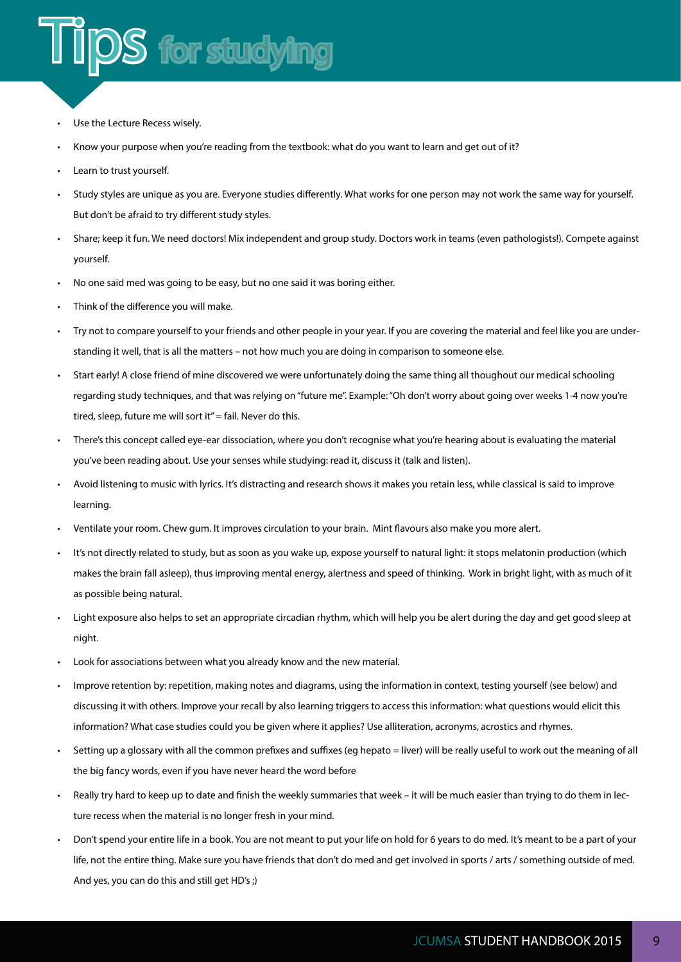## DS for studying

- Use the Lecture Recess wisely.
- Know your purpose when you're reading from the textbook: what do you want to learn and get out of it?
- Learn to trust yourself.
- Study styles are unique as you are. Everyone studies differently. What works for one person may not work the same way for yourself. But don't be afraid to try different study styles.
- Share; keep it fun. We need doctors! Mix independent and group study. Doctors work in teams (even pathologists!). Compete against yourself.
- No one said med was going to be easy, but no one said it was boring either.
- Think of the difference you will make.
- Try not to compare yourself to your friends and other people in your year. If you are covering the material and feel like you are understanding it well, that is all the matters – not how much you are doing in comparison to someone else.
- Start early! A close friend of mine discovered we were unfortunately doing the same thing all thoughout our medical schooling regarding study techniques, and that was relying on "future me". Example: "Oh don't worry about going over weeks 1-4 now you're tired, sleep, future me will sort it" = fail. Never do this.
- There's this concept called eye-ear dissociation, where you don't recognise what you're hearing about is evaluating the material you've been reading about. Use your senses while studying: read it, discuss it (talk and listen).
- Avoid listening to music with lyrics. It's distracting and research shows it makes you retain less, while classical is said to improve learning.
- Ventilate your room. Chew gum. It improves circulation to your brain. Mint flavours also make you more alert.
- It's not directly related to study, but as soon as you wake up, expose yourself to natural light: it stops melatonin production (which makes the brain fall asleep), thus improving mental energy, alertness and speed of thinking. Work in bright light, with as much of it as possible being natural.
- Light exposure also helps to set an appropriate circadian rhythm, which will help you be alert during the day and get good sleep at night.
- Look for associations between what you already know and the new material.
- Improve retention by: repetition, making notes and diagrams, using the information in context, testing yourself (see below) and discussing it with others. Improve your recall by also learning triggers to access this information: what questions would elicit this information? What case studies could you be given where it applies? Use alliteration, acronyms, acrostics and rhymes.
- Setting up a glossary with all the common prefixes and suffixes (eg hepato = liver) will be really useful to work out the meaning of all the big fancy words, even if you have never heard the word before
- Really try hard to keep up to date and finish the weekly summaries that week it will be much easier than trying to do them in lecture recess when the material is no longer fresh in your mind.
- Don't spend your entire life in a book. You are not meant to put your life on hold for 6 years to do med. It's meant to be a part of your life, not the entire thing. Make sure you have friends that don't do med and get involved in sports / arts / something outside of med. And yes, you can do this and still get HD's ;)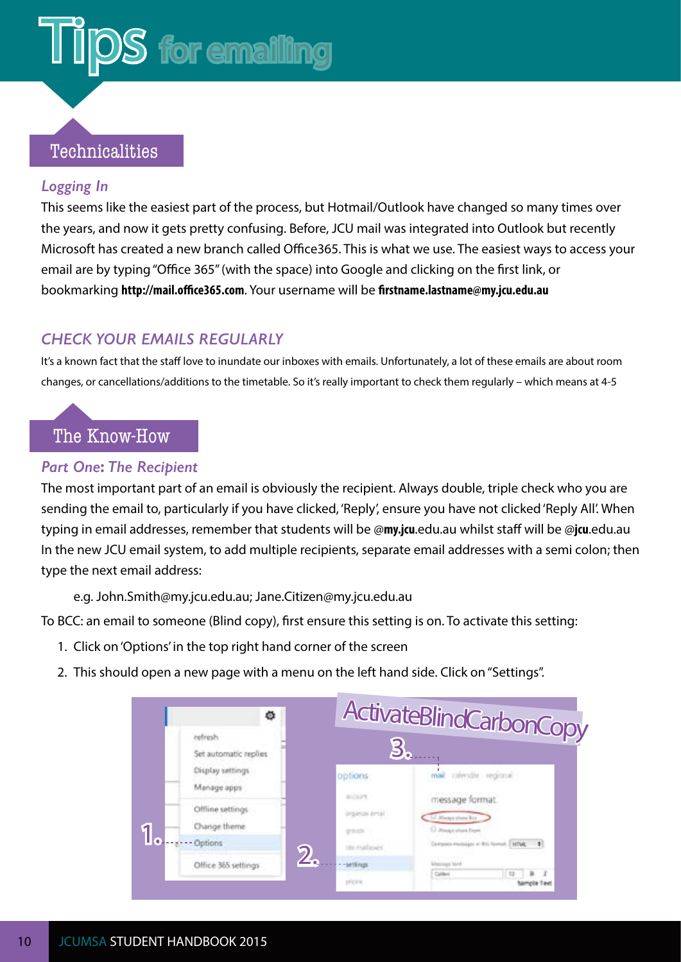## <span id="page-12-0"></span>**S** for emailing

#### Technicalities

#### *Logging In*

This seems like the easiest part of the process, but Hotmail/Outlook have changed so many times over the years, and now it gets pretty confusing. Before, JCU mail was integrated into Outlook but recently Microsoft has created a new branch called Office365. This is what we use. The easiest ways to access your email are by typing "Office 365" (with the space) into Google and clicking on the first link, or bookmarking **<http://mail.office365.com>**. Your username will be **firstname.lastname@my.jcu.edu.au**

#### *CHECK YOUR EMAILS REGULARLY*

It's a known fact that the staff love to inundate our inboxes with emails. Unfortunately, a lot of these emails are about room changes, or cancellations/additions to the timetable. So it's really important to check them regularly – which means at 4-5

#### The Know-How

#### *Part One***:** *The Recipient*

The most important part of an email is obviously the recipient. Always double, triple check who you are sending the email to, particularly if you have clicked, 'Reply', ensure you have not clicked 'Reply All'. When typing in email addresses, remember that students will be @**my.jcu**.edu.au whilst staff will be @**jcu**.edu.au In the new JCU email system, to add multiple recipients, separate email addresses with a semi colon; then type the next email address:

e.g. John.Smith@my.jcu.edu.au; Jane.Citizen@my.jcu.edu.au

To BCC: an email to someone (Blind copy), first ensure this setting is on. To activate this setting:

- 1. Click on 'Options' in the top right hand corner of the screen
- 2. This should open a new page with a menu on the left hand side. Click on "Settings".

|  | ۰                                |                                | ActivateBlindCarbonCopy                     |  |
|--|----------------------------------|--------------------------------|---------------------------------------------|--|
|  | refresh<br>Set automatic replies | J.                             |                                             |  |
|  | Display settings                 | options                        | mail crimdis segional                       |  |
|  | Manage apps                      | activirt                       | message format.                             |  |
|  | Offline settings                 | isma ismal                     | L.I. Hough show But                         |  |
|  | Change theme                     | grinadi.                       | El Weaptshale Trom                          |  |
|  | Options                          | ite nations'<br>2 <sub>1</sub> | Cartpoon messages or this farmed  NTML<br>٠ |  |
|  | Office 365 settings              | -settings                      | <b><i>Meanings hand</i></b>                 |  |
|  |                                  | phone.                         | Californi<br>vola Tavo                      |  |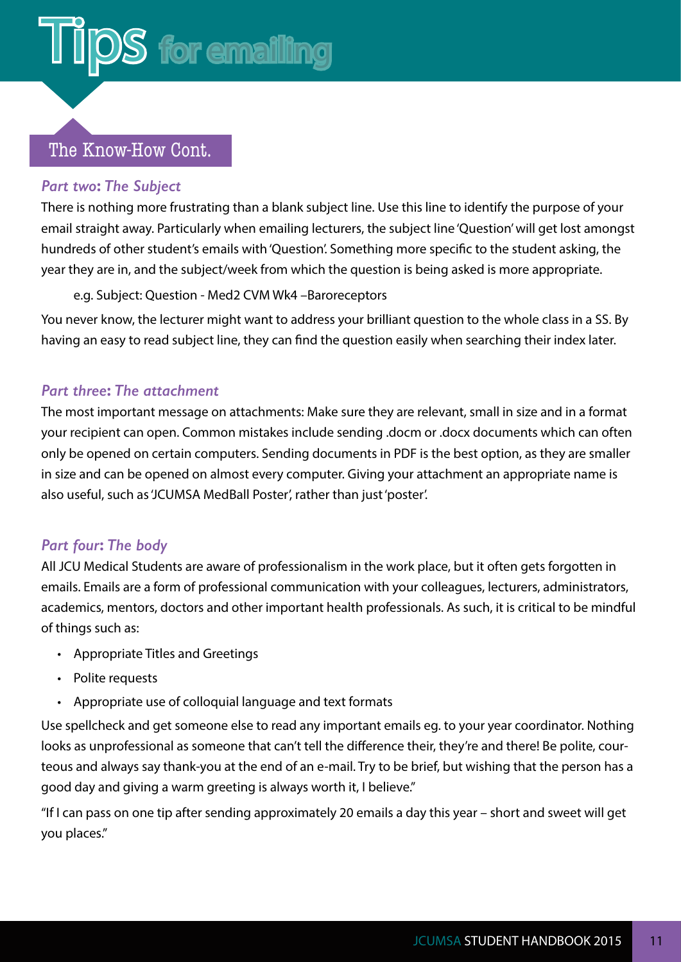### $DS$  for emailing

#### The Know-How Cont.

#### *Part two***:** *The Subject*

There is nothing more frustrating than a blank subject line. Use this line to identify the purpose of your email straight away. Particularly when emailing lecturers, the subject line 'Question' will get lost amongst hundreds of other student's emails with 'Question'. Something more specific to the student asking, the year they are in, and the subject/week from which the question is being asked is more appropriate.

e.g. Subject: Question - Med2 CVM Wk4 –Baroreceptors

You never know, the lecturer might want to address your brilliant question to the whole class in a SS. By having an easy to read subject line, they can find the question easily when searching their index later.

#### *Part three***:** *The attachment*

The most important message on attachments: Make sure they are relevant, small in size and in a format your recipient can open. Common mistakes include sending .docm or .docx documents which can often only be opened on certain computers. Sending documents in PDF is the best option, as they are smaller in size and can be opened on almost every computer. Giving your attachment an appropriate name is also useful, such as 'JCUMSA MedBall Poster', rather than just 'poster'.

#### *Part four***:** *The body*

All JCU Medical Students are aware of professionalism in the work place, but it often gets forgotten in emails. Emails are a form of professional communication with your colleagues, lecturers, administrators, academics, mentors, doctors and other important health professionals. As such, it is critical to be mindful of things such as:

- Appropriate Titles and Greetings
- Polite requests
- Appropriate use of colloquial language and text formats

Use spellcheck and get someone else to read any important emails eg. to your year coordinator. Nothing looks as unprofessional as someone that can't tell the difference their, they're and there! Be polite, courteous and always say thank-you at the end of an e-mail. Try to be brief, but wishing that the person has a good day and giving a warm greeting is always worth it, I believe."

"If I can pass on one tip after sending approximately 20 emails a day this year – short and sweet will get you places."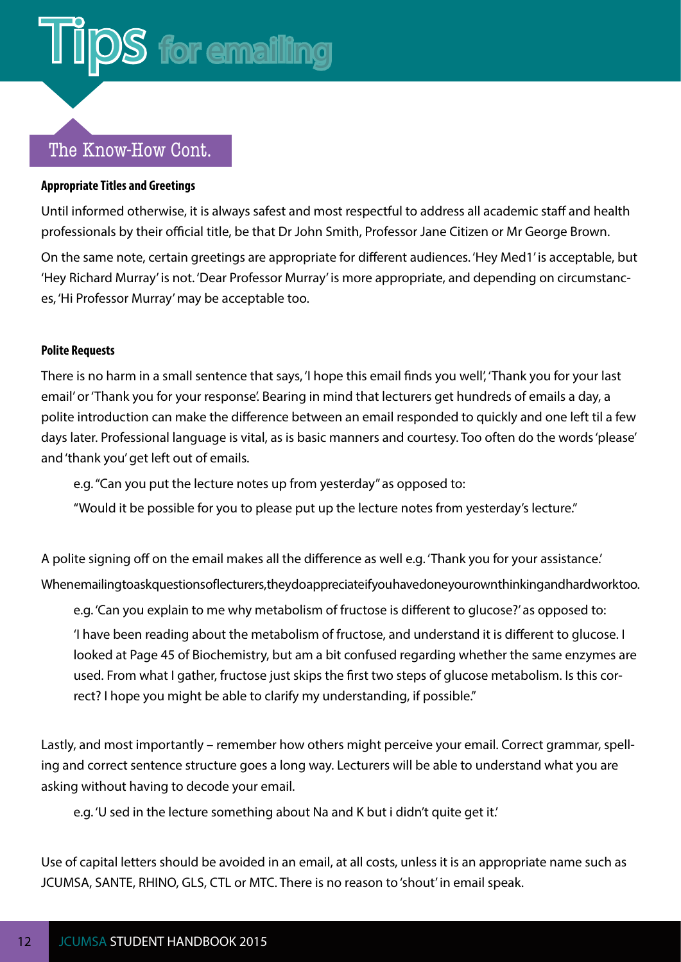### **S** for emailing

#### The Know-How Cont.

#### **Appropriate Titles and Greetings**

Until informed otherwise, it is always safest and most respectful to address all academic staff and health professionals by their official title, be that Dr John Smith, Professor Jane Citizen or Mr George Brown.

On the same note, certain greetings are appropriate for different audiences. 'Hey Med1' is acceptable, but 'Hey Richard Murray' is not. 'Dear Professor Murray' is more appropriate, and depending on circumstances, 'Hi Professor Murray' may be acceptable too.

#### **Polite Requests**

There is no harm in a small sentence that says, 'I hope this email finds you well', 'Thank you for your last email' or 'Thank you for your response'. Bearing in mind that lecturers get hundreds of emails a day, a polite introduction can make the difference between an email responded to quickly and one left til a few days later. Professional language is vital, as is basic manners and courtesy. Too often do the words 'please' and 'thank you' get left out of emails.

e.g. "Can you put the lecture notes up from yesterday" as opposed to:

"Would it be possible for you to please put up the lecture notes from yesterday's lecture."

A polite signing off on the email makes all the difference as well e.g. 'Thank you for your assistance.' When emailing to ask questions of lecturers, they do appreciate if you have done your own thinking and hard work too.

e.g. 'Can you explain to me why metabolism of fructose is different to glucose?' as opposed to:

'I have been reading about the metabolism of fructose, and understand it is different to glucose. I looked at Page 45 of Biochemistry, but am a bit confused regarding whether the same enzymes are used. From what I gather, fructose just skips the first two steps of glucose metabolism. Is this correct? I hope you might be able to clarify my understanding, if possible."

Lastly, and most importantly – remember how others might perceive your email. Correct grammar, spelling and correct sentence structure goes a long way. Lecturers will be able to understand what you are asking without having to decode your email.

e.g. 'U sed in the lecture something about Na and K but i didn't quite get it.'

Use of capital letters should be avoided in an email, at all costs, unless it is an appropriate name such as JCUMSA, SANTE, RHINO, GLS, CTL or MTC. There is no reason to 'shout' in email speak.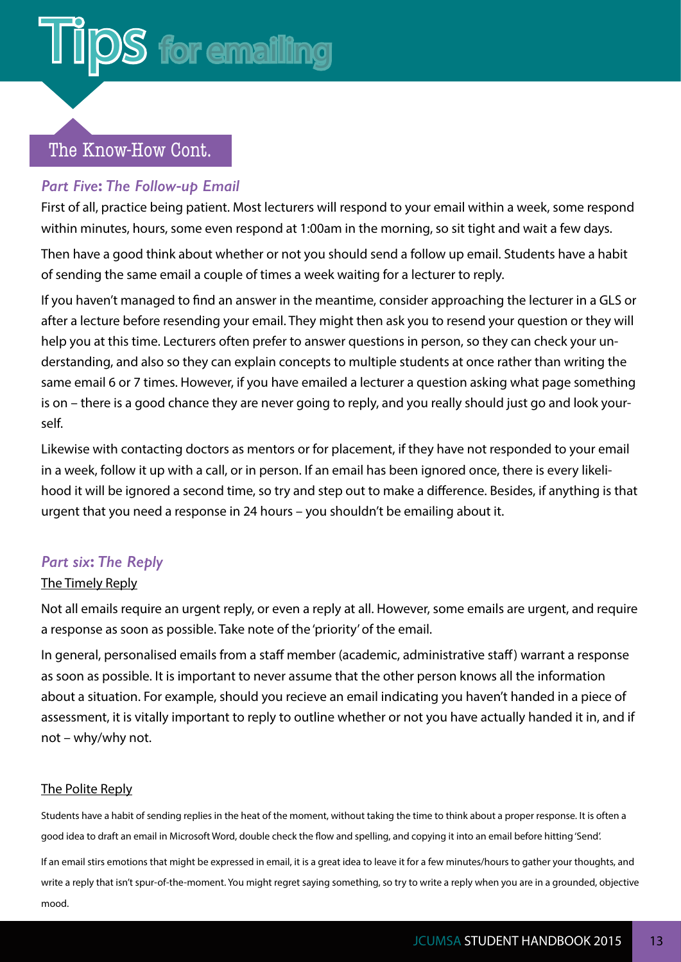$DS$  for emailing

#### The Know-How Cont.

#### *Part Five***:** *The Follow***-***up Email*

First of all, practice being patient. Most lecturers will respond to your email within a week, some respond within minutes, hours, some even respond at 1:00am in the morning, so sit tight and wait a few days.

Then have a good think about whether or not you should send a follow up email. Students have a habit of sending the same email a couple of times a week waiting for a lecturer to reply.

If you haven't managed to find an answer in the meantime, consider approaching the lecturer in a GLS or after a lecture before resending your email. They might then ask you to resend your question or they will help you at this time. Lecturers often prefer to answer questions in person, so they can check your understanding, and also so they can explain concepts to multiple students at once rather than writing the same email 6 or 7 times. However, if you have emailed a lecturer a question asking what page something is on – there is a good chance they are never going to reply, and you really should just go and look yourself.

Likewise with contacting doctors as mentors or for placement, if they have not responded to your email in a week, follow it up with a call, or in person. If an email has been ignored once, there is every likelihood it will be ignored a second time, so try and step out to make a difference. Besides, if anything is that urgent that you need a response in 24 hours – you shouldn't be emailing about it.

#### *Part six***:** *The Reply*

#### The Timely Reply

Not all emails require an urgent reply, or even a reply at all. However, some emails are urgent, and require a response as soon as possible. Take note of the 'priority' of the email.

In general, personalised emails from a staff member (academic, administrative staff) warrant a response as soon as possible. It is important to never assume that the other person knows all the information about a situation. For example, should you recieve an email indicating you haven't handed in a piece of assessment, it is vitally important to reply to outline whether or not you have actually handed it in, and if not – why/why not.

#### The Polite Reply

Students have a habit of sending replies in the heat of the moment, without taking the time to think about a proper response. It is often a good idea to draft an email in Microsoft Word, double check the flow and spelling, and copying it into an email before hitting 'Send'.

If an email stirs emotions that might be expressed in email, it is a great idea to leave it for a few minutes/hours to gather your thoughts, and write a reply that isn't spur-of-the-moment. You might regret saying something, so try to write a reply when you are in a grounded, objective mood.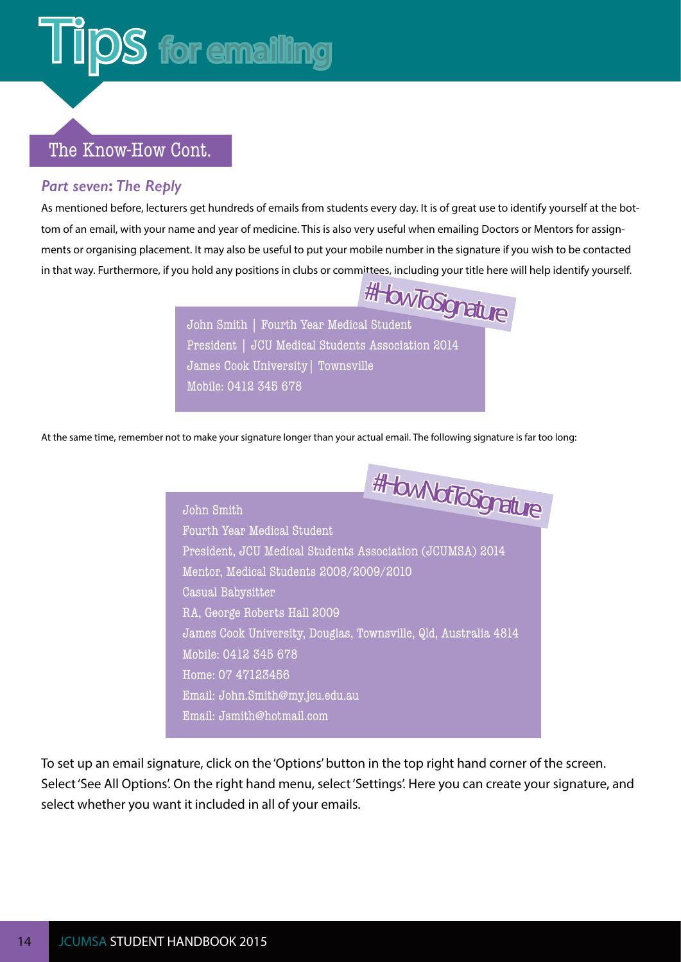### **Tips for emailing**

#### The Know-How Cont.

#### *Part seven***:** *The Reply*

As mentioned before, lecturers get hundreds of emails from students every day. It is of great use to identify yourself at the bottom of an email, with your name and year of medicine. This is also very useful when emailing Doctors or Mentors for assignments or organising placement. It may also be useful to put your mobile number in the signature if you wish to be contacted in that way. Furthermore, if you hold any positions in clubs or committees, including your title here will help identify yourself.



At the same time, remember not to make your signature longer than your actual email. The following signature is far too long:

#HowNotToSignature John Smith Fourth Year Medical Student President, JCU Medical Students Association (JCUMSA) 2014 Mentor, Medical Students 2008/2009/2010 Casual Babysitter RA, George Roberts Hall 2009 James Cook University, Douglas, Townsville, Qld, Australia 4814 Mobile: 0412 345 678 Home: 07 47123456 Email: John.Smith@my.jcu.edu.au Email: Jsmith@hotmail.com

To set up an email signature, click on the 'Options' button in the top right hand corner of the screen. Select 'See All Options'. On the right hand menu, select 'Settings'. Here you can create your signature, and select whether you want it included in all of your emails.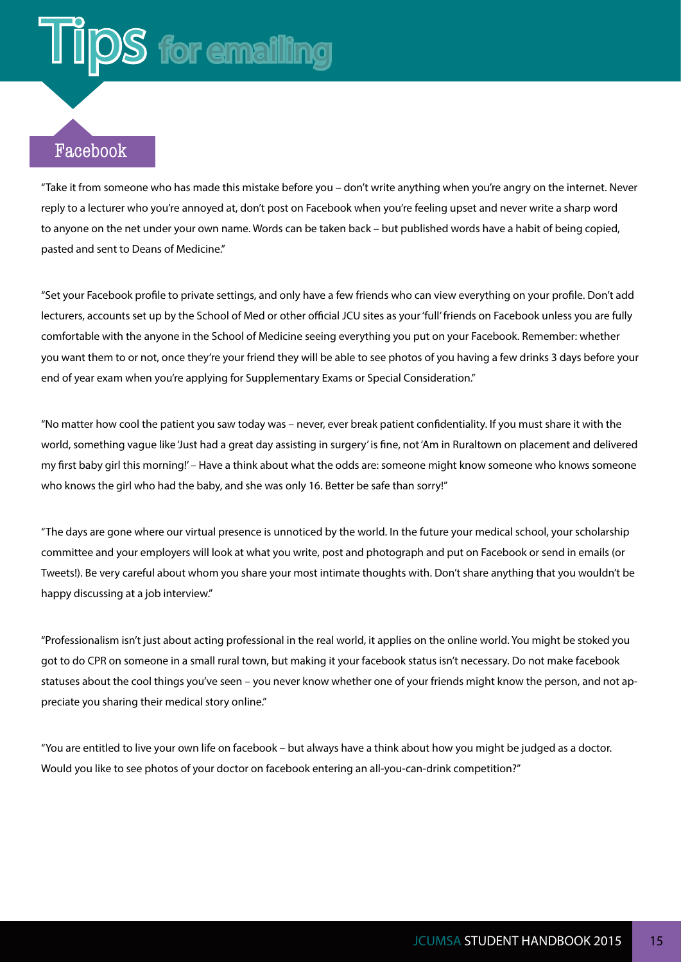#### Facebook

"Take it from someone who has made this mistake before you – don't write anything when you're angry on the internet. Never reply to a lecturer who you're annoyed at, don't post on Facebook when you're feeling upset and never write a sharp word to anyone on the net under your own name. Words can be taken back – but published words have a habit of being copied, pasted and sent to Deans of Medicine."

"Set your Facebook profile to private settings, and only have a few friends who can view everything on your profile. Don't add lecturers, accounts set up by the School of Med or other official JCU sites as your 'full' friends on Facebook unless you are fully comfortable with the anyone in the School of Medicine seeing everything you put on your Facebook. Remember: whether you want them to or not, once they're your friend they will be able to see photos of you having a few drinks 3 days before your end of year exam when you're applying for Supplementary Exams or Special Consideration."

"No matter how cool the patient you saw today was – never, ever break patient confidentiality. If you must share it with the world, something vague like 'Just had a great day assisting in surgery' is fine, not 'Am in Ruraltown on placement and delivered my first baby girl this morning!' – Have a think about what the odds are: someone might know someone who knows someone who knows the girl who had the baby, and she was only 16. Better be safe than sorry!"

"The days are gone where our virtual presence is unnoticed by the world. In the future your medical school, your scholarship committee and your employers will look at what you write, post and photograph and put on Facebook or send in emails (or Tweets!). Be very careful about whom you share your most intimate thoughts with. Don't share anything that you wouldn't be happy discussing at a job interview."

"Professionalism isn't just about acting professional in the real world, it applies on the online world. You might be stoked you got to do CPR on someone in a small rural town, but making it your facebook status isn't necessary. Do not make facebook statuses about the cool things you've seen – you never know whether one of your friends might know the person, and not appreciate you sharing their medical story online."

"You are entitled to live your own life on facebook – but always have a think about how you might be judged as a doctor. Would you like to see photos of your doctor on facebook entering an all-you-can-drink competition?"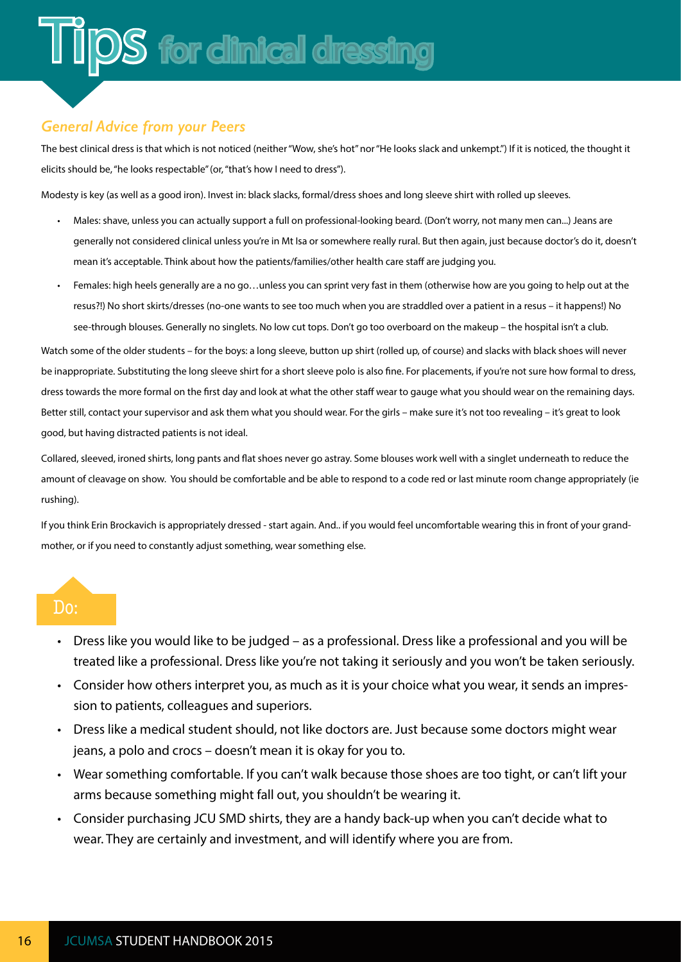#### <span id="page-18-0"></span>*General Advice from your Peers*

The best clinical dress is that which is not noticed (neither "Wow, she's hot" nor "He looks slack and unkempt.") If it is noticed, the thought it elicits should be, "he looks respectable" (or, "that's how I need to dress").

Modesty is key (as well as a good iron). Invest in: black slacks, formal/dress shoes and long sleeve shirt with rolled up sleeves.

- Males: shave, unless you can actually support a full on professional-looking beard. (Don't worry, not many men can...) Jeans are generally not considered clinical unless you're in Mt Isa or somewhere really rural. But then again, just because doctor's do it, doesn't mean it's acceptable. Think about how the patients/families/other health care staff are judging you.
- Females: high heels generally are a no go…unless you can sprint very fast in them (otherwise how are you going to help out at the resus?!) No short skirts/dresses (no-one wants to see too much when you are straddled over a patient in a resus – it happens!) No see-through blouses. Generally no singlets. No low cut tops. Don't go too overboard on the makeup – the hospital isn't a club.

Watch some of the older students – for the boys: a long sleeve, button up shirt (rolled up, of course) and slacks with black shoes will never be inappropriate. Substituting the long sleeve shirt for a short sleeve polo is also fine. For placements, if you're not sure how formal to dress, dress towards the more formal on the first day and look at what the other staff wear to gauge what you should wear on the remaining days. Better still, contact your supervisor and ask them what you should wear. For the girls – make sure it's not too revealing – it's great to look good, but having distracted patients is not ideal.

Collared, sleeved, ironed shirts, long pants and flat shoes never go astray. Some blouses work well with a singlet underneath to reduce the amount of cleavage on show. You should be comfortable and be able to respond to a code red or last minute room change appropriately (ie rushing).

If you think Erin Brockavich is appropriately dressed - start again. And.. if you would feel uncomfortable wearing this in front of your grandmother, or if you need to constantly adjust something, wear something else.

#### Do:

- Dress like you would like to be judged as a professional. Dress like a professional and you will be treated like a professional. Dress like you're not taking it seriously and you won't be taken seriously.
- Consider how others interpret you, as much as it is your choice what you wear, it sends an impression to patients, colleagues and superiors.
- Dress like a medical student should, not like doctors are. Just because some doctors might wear jeans, a polo and crocs – doesn't mean it is okay for you to.
- Wear something comfortable. If you can't walk because those shoes are too tight, or can't lift your arms because something might fall out, you shouldn't be wearing it.
- Consider purchasing JCU SMD shirts, they are a handy back-up when you can't decide what to wear. They are certainly and investment, and will identify where you are from.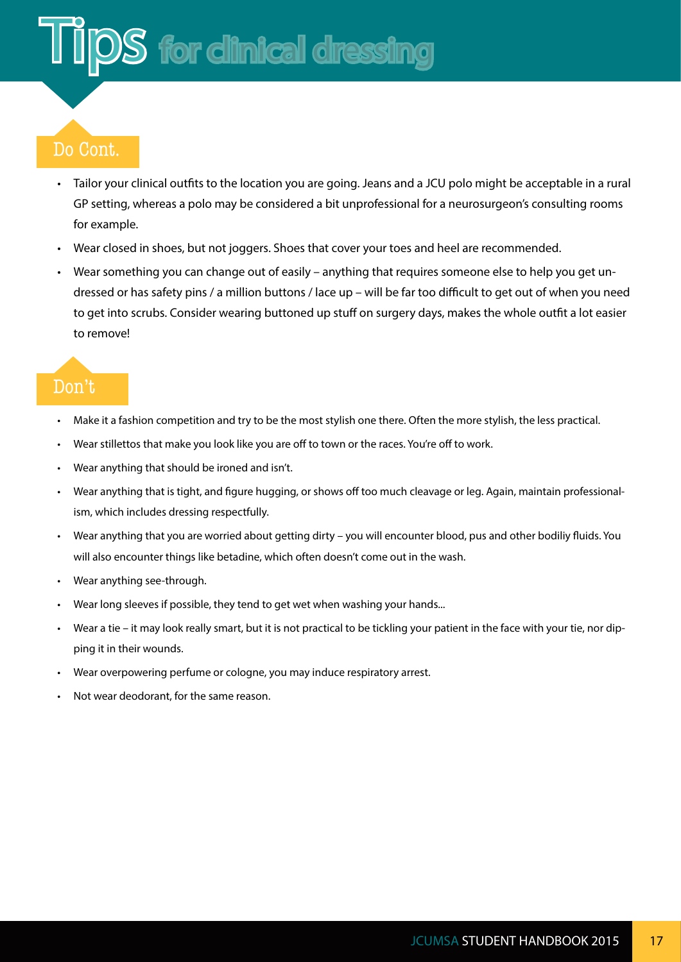### **DS** for clinical dressing

#### Do Cont.

- Tailor your clinical outfits to the location you are going. Jeans and a JCU polo might be acceptable in a rural GP setting, whereas a polo may be considered a bit unprofessional for a neurosurgeon's consulting rooms for example.
- Wear closed in shoes, but not joggers. Shoes that cover your toes and heel are recommended.
- Wear something you can change out of easily anything that requires someone else to help you get undressed or has safety pins / a million buttons / lace up – will be far too difficult to get out of when you need to get into scrubs. Consider wearing buttoned up stuff on surgery days, makes the whole outfit a lot easier to remove!

#### Don't

- Make it a fashion competition and try to be the most stylish one there. Often the more stylish, the less practical.
- Wear stillettos that make you look like you are off to town or the races. You're off to work.
- Wear anything that should be ironed and isn't.
- Wear anything that is tight, and figure hugging, or shows off too much cleavage or leg. Again, maintain professionalism, which includes dressing respectfully.
- Wear anything that you are worried about getting dirty you will encounter blood, pus and other bodiliy fluids. You will also encounter things like betadine, which often doesn't come out in the wash.
- Wear anything see-through.
- Wear long sleeves if possible, they tend to get wet when washing your hands...
- Wear a tie it may look really smart, but it is not practical to be tickling your patient in the face with your tie, nor dipping it in their wounds.
- Wear overpowering perfume or cologne, you may induce respiratory arrest.
- Not wear deodorant, for the same reason.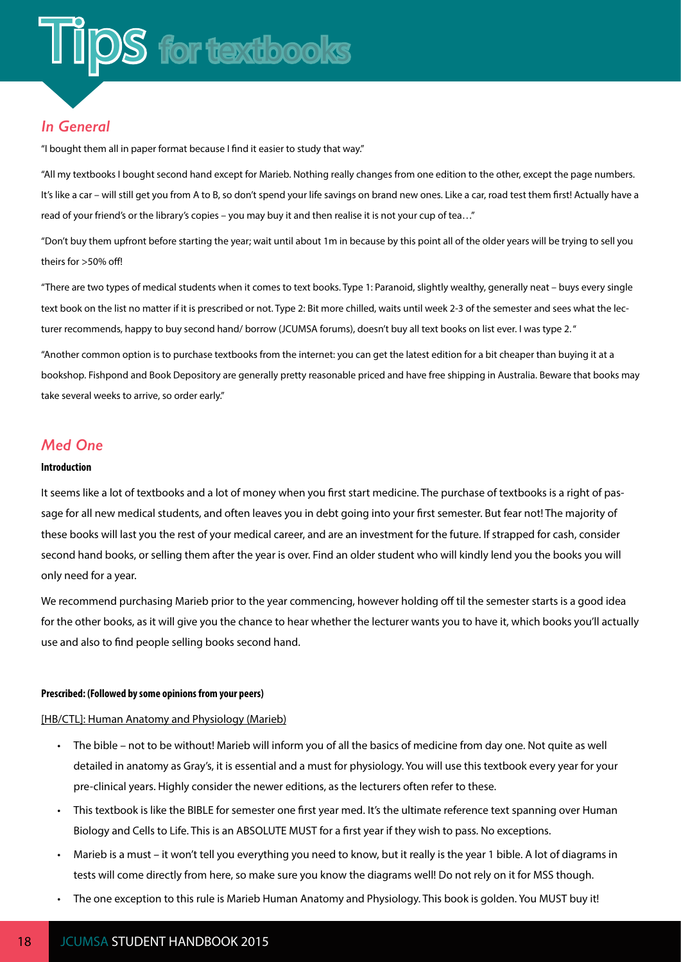#### <span id="page-20-0"></span>*In General*

"I bought them all in paper format because I find it easier to study that way."

"All my textbooks I bought second hand except for Marieb. Nothing really changes from one edition to the other, except the page numbers. It's like a car – will still get you from A to B, so don't spend your life savings on brand new ones. Like a car, road test them first! Actually have a read of your friend's or the library's copies – you may buy it and then realise it is not your cup of tea…"

"Don't buy them upfront before starting the year; wait until about 1m in because by this point all of the older years will be trying to sell you theirs for >50% off!

"There are two types of medical students when it comes to text books. Type 1: Paranoid, slightly wealthy, generally neat – buys every single text book on the list no matter if it is prescribed or not. Type 2: Bit more chilled, waits until week 2-3 of the semester and sees what the lecturer recommends, happy to buy second hand/ borrow (JCUMSA forums), doesn't buy all text books on list ever. I was type 2. "

"Another common option is to purchase textbooks from the internet: you can get the latest edition for a bit cheaper than buying it at a bookshop. Fishpond and Book Depository are generally pretty reasonable priced and have free shipping in Australia. Beware that books may take several weeks to arrive, so order early."

#### *Med One*

#### **Introduction**

It seems like a lot of textbooks and a lot of money when you first start medicine. The purchase of textbooks is a right of passage for all new medical students, and often leaves you in debt going into your first semester. But fear not! The majority of these books will last you the rest of your medical career, and are an investment for the future. If strapped for cash, consider second hand books, or selling them after the year is over. Find an older student who will kindly lend you the books you will only need for a year.

We recommend purchasing Marieb prior to the year commencing, however holding off til the semester starts is a good idea for the other books, as it will give you the chance to hear whether the lecturer wants you to have it, which books you'll actually use and also to find people selling books second hand.

#### **Prescribed: (Followed by some opinions from your peers)**

#### [HB/CTL]: Human Anatomy and Physiology (Marieb)

- The bible not to be without! Marieb will inform you of all the basics of medicine from day one. Not quite as well detailed in anatomy as Gray's, it is essential and a must for physiology. You will use this textbook every year for your pre-clinical years. Highly consider the newer editions, as the lecturers often refer to these.
- This textbook is like the BIBLE for semester one first year med. It's the ultimate reference text spanning over Human Biology and Cells to Life. This is an ABSOLUTE MUST for a first year if they wish to pass. No exceptions.
- Marieb is a must it won't tell you everything you need to know, but it really is the year 1 bible. A lot of diagrams in tests will come directly from here, so make sure you know the diagrams well! Do not rely on it for MSS though.
- The one exception to this rule is Marieb Human Anatomy and Physiology. This book is golden. You MUST buy it!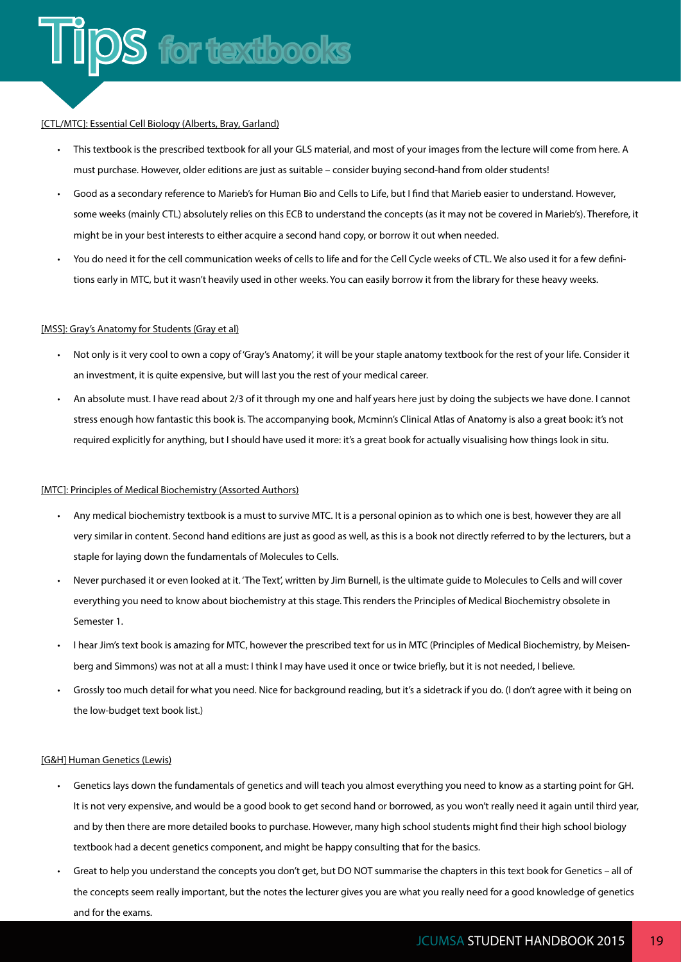#### [CTL/MTC]: Essential Cell Biology (Alberts, Bray, Garland)

- This textbook is the prescribed textbook for all your GLS material, and most of your images from the lecture will come from here. A must purchase. However, older editions are just as suitable – consider buying second-hand from older students!
- Good as a secondary reference to Marieb's for Human Bio and Cells to Life, but I find that Marieb easier to understand. However, some weeks (mainly CTL) absolutely relies on this ECB to understand the concepts (as it may not be covered in Marieb's). Therefore, it might be in your best interests to either acquire a second hand copy, or borrow it out when needed.
- You do need it for the cell communication weeks of cells to life and for the Cell Cycle weeks of CTL. We also used it for a few definitions early in MTC, but it wasn't heavily used in other weeks. You can easily borrow it from the library for these heavy weeks.

#### [MSS]: Gray's Anatomy for Students (Gray et al)

- Not only is it very cool to own a copy of 'Gray's Anatomy', it will be your staple anatomy textbook for the rest of your life. Consider it an investment, it is quite expensive, but will last you the rest of your medical career.
- An absolute must. I have read about 2/3 of it through my one and half years here just by doing the subjects we have done. I cannot stress enough how fantastic this book is. The accompanying book, Mcminn's Clinical Atlas of Anatomy is also a great book: it's not required explicitly for anything, but I should have used it more: it's a great book for actually visualising how things look in situ.

#### [MTC]: Principles of Medical Biochemistry (Assorted Authors)

- Any medical biochemistry textbook is a must to survive MTC. It is a personal opinion as to which one is best, however they are all very similar in content. Second hand editions are just as good as well, as this is a book not directly referred to by the lecturers, but a staple for laying down the fundamentals of Molecules to Cells.
- Never purchased it or even looked at it. 'The Text', written by Jim Burnell, is the ultimate guide to Molecules to Cells and will cover everything you need to know about biochemistry at this stage. This renders the Principles of Medical Biochemistry obsolete in Semester 1.
- I hear Jim's text book is amazing for MTC, however the prescribed text for us in MTC (Principles of Medical Biochemistry, by Meisenberg and Simmons) was not at all a must: I think I may have used it once or twice briefly, but it is not needed, I believe.
- Grossly too much detail for what you need. Nice for background reading, but it's a sidetrack if you do. (I don't agree with it being on the low-budget text book list.)

#### [G&H] Human Genetics (Lewis)

- Genetics lays down the fundamentals of genetics and will teach you almost everything you need to know as a starting point for GH. It is not very expensive, and would be a good book to get second hand or borrowed, as you won't really need it again until third year, and by then there are more detailed books to purchase. However, many high school students might find their high school biology textbook had a decent genetics component, and might be happy consulting that for the basics.
- Great to help you understand the concepts you don't get, but DO NOT summarise the chapters in this text book for Genetics all of the concepts seem really important, but the notes the lecturer gives you are what you really need for a good knowledge of genetics and for the exams.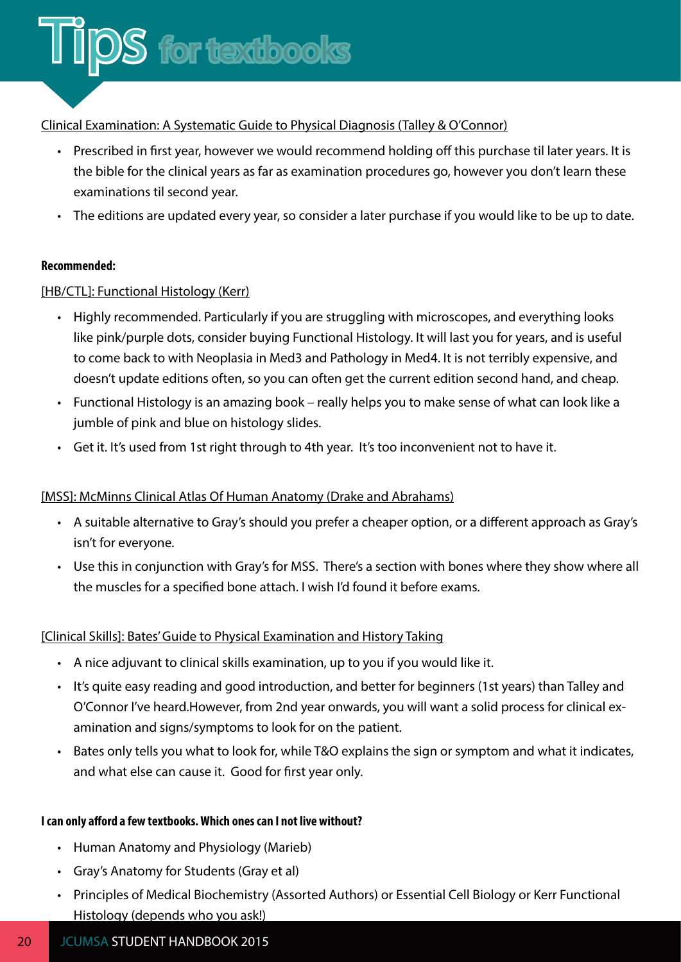

#### Clinical Examination: A Systematic Guide to Physical Diagnosis (Talley & O'Connor)

- Prescribed in first year, however we would recommend holding off this purchase til later years. It is the bible for the clinical years as far as examination procedures go, however you don't learn these examinations til second year.
- The editions are updated every year, so consider a later purchase if you would like to be up to date.

#### **Recommended:**

#### [HB/CTL]: Functional Histology (Kerr)

- Highly recommended. Particularly if you are struggling with microscopes, and everything looks like pink/purple dots, consider buying Functional Histology. It will last you for years, and is useful to come back to with Neoplasia in Med3 and Pathology in Med4. It is not terribly expensive, and doesn't update editions often, so you can often get the current edition second hand, and cheap.
- Functional Histology is an amazing book really helps you to make sense of what can look like a jumble of pink and blue on histology slides.
- Get it. It's used from 1st right through to 4th year. It's too inconvenient not to have it.

#### [MSS]: McMinns Clinical Atlas Of Human Anatomy (Drake and Abrahams)

- A suitable alternative to Gray's should you prefer a cheaper option, or a different approach as Gray's isn't for everyone.
- Use this in conjunction with Gray's for MSS. There's a section with bones where they show where all the muscles for a specified bone attach. I wish I'd found it before exams.

#### [Clinical Skills]: Bates' Guide to Physical Examination and History Taking

- A nice adjuvant to clinical skills examination, up to you if you would like it.
- It's quite easy reading and good introduction, and better for beginners (1st years) than Talley and O'Connor I've heard.However, from 2nd year onwards, you will want a solid process for clinical examination and signs/symptoms to look for on the patient.
- Bates only tells you what to look for, while T&O explains the sign or symptom and what it indicates, and what else can cause it. Good for first year only.

#### **I can only afford a few textbooks. Which ones can I not live without?**

- Human Anatomy and Physiology (Marieb)
- Gray's Anatomy for Students (Gray et al)
- Principles of Medical Biochemistry (Assorted Authors) or Essential Cell Biology or Kerr Functional Histology (depends who you ask!)

#### 20 **JCUMSA STUDENT HANDBOOK 2015**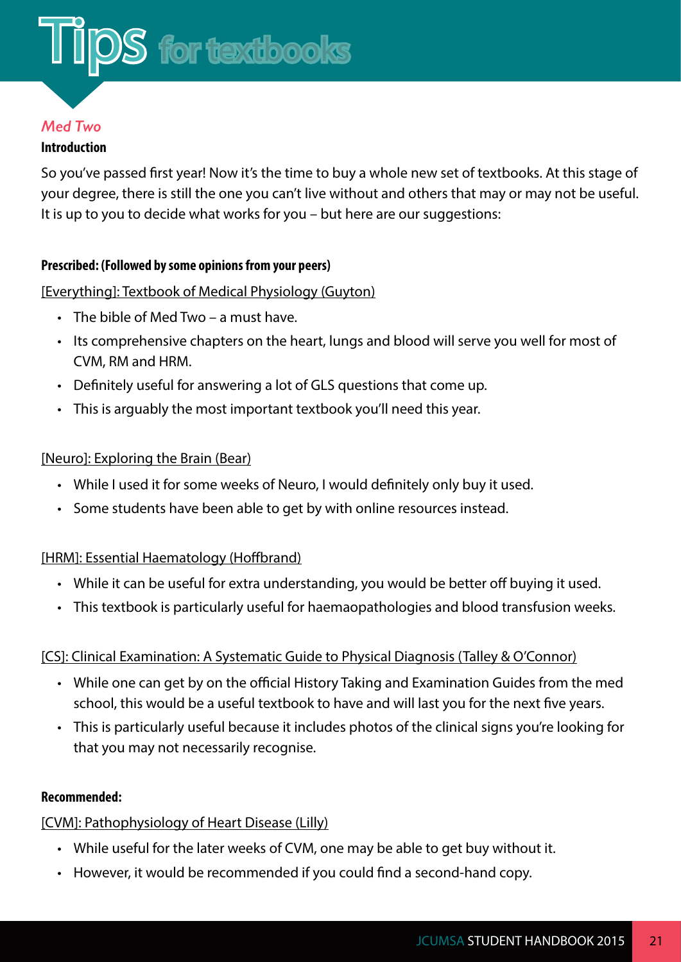#### *Med Two*

#### **Introduction**

So you've passed first year! Now it's the time to buy a whole new set of textbooks. At this stage of your degree, there is still the one you can't live without and others that may or may not be useful. It is up to you to decide what works for you – but here are our suggestions:

#### **Prescribed: (Followed by some opinions from your peers)**

#### [Everything]: Textbook of Medical Physiology (Guyton)

- The bible of Med Two a must have.
- Its comprehensive chapters on the heart, lungs and blood will serve you well for most of CVM, RM and HRM.
- Definitely useful for answering a lot of GLS questions that come up.
- This is arguably the most important textbook you'll need this year.

#### [Neuro]: Exploring the Brain (Bear)

- While I used it for some weeks of Neuro, I would definitely only buy it used.
- Some students have been able to get by with online resources instead.

#### [HRM]: Essential Haematology (Hoffbrand)

- While it can be useful for extra understanding, you would be better off buying it used.
- This textbook is particularly useful for haemaopathologies and blood transfusion weeks.

#### [CS]: Clinical Examination: A Systematic Guide to Physical Diagnosis (Talley & O'Connor)

- While one can get by on the official History Taking and Examination Guides from the med school, this would be a useful textbook to have and will last you for the next five years.
- This is particularly useful because it includes photos of the clinical signs you're looking for that you may not necessarily recognise.

#### **Recommended:**

#### [CVM]: Pathophysiology of Heart Disease (Lilly)

- While useful for the later weeks of CVM, one may be able to get buy without it.
- However, it would be recommended if you could find a second-hand copy.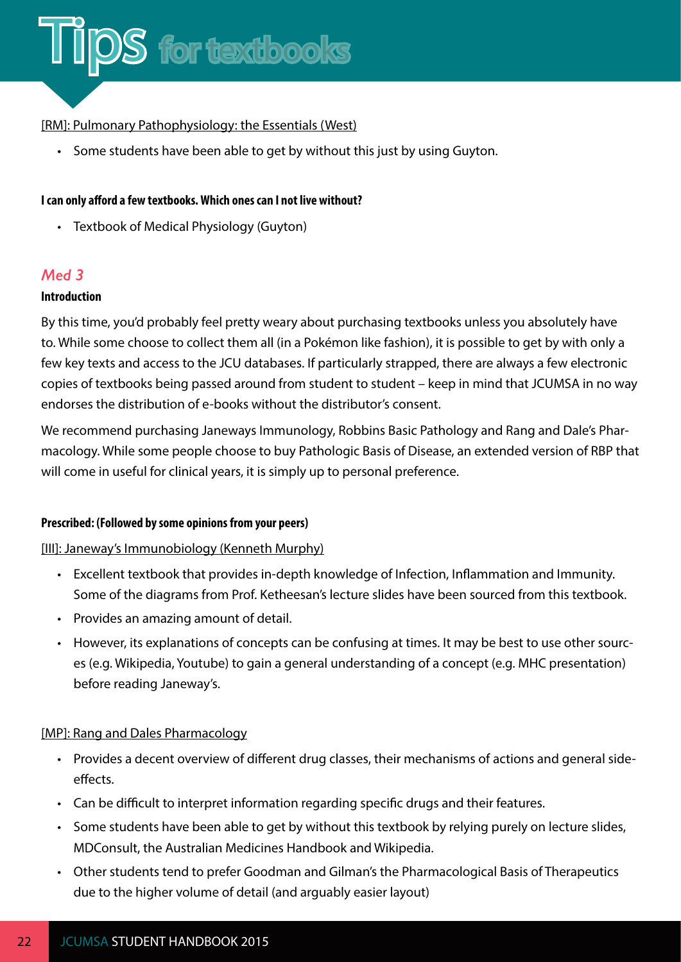

#### [RM]: Pulmonary Pathophysiology: the Essentials (West)

• Some students have been able to get by without this just by using Guyton.

#### **I can only afford a few textbooks. Which ones can I not live without?**

• Textbook of Medical Physiology (Guyton)

#### *Med 3*

#### **Introduction**

By this time, you'd probably feel pretty weary about purchasing textbooks unless you absolutely have to. While some choose to collect them all (in a Pokémon like fashion), it is possible to get by with only a few key texts and access to the JCU databases. If particularly strapped, there are always a few electronic copies of textbooks being passed around from student to student – keep in mind that JCUMSA in no way endorses the distribution of e-books without the distributor's consent.

We recommend purchasing Janeways Immunology, Robbins Basic Pathology and Rang and Dale's Pharmacology. While some people choose to buy Pathologic Basis of Disease, an extended version of RBP that will come in useful for clinical years, it is simply up to personal preference.

#### **Prescribed: (Followed by some opinions from your peers)**

#### [III]: Janeway's Immunobiology (Kenneth Murphy)

- Excellent textbook that provides in-depth knowledge of Infection, Inflammation and Immunity. Some of the diagrams from Prof. Ketheesan's lecture slides have been sourced from this textbook.
- Provides an amazing amount of detail.
- However, its explanations of concepts can be confusing at times. It may be best to use other sources (e.g. Wikipedia, Youtube) to gain a general understanding of a concept (e.g. MHC presentation) before reading Janeway's.

#### [MP]: Rang and Dales Pharmacology

- Provides a decent overview of different drug classes, their mechanisms of actions and general sideeffects.
- Can be difficult to interpret information regarding specific drugs and their features.
- Some students have been able to get by without this textbook by relying purely on lecture slides, MDConsult, the Australian Medicines Handbook and Wikipedia.
- Other students tend to prefer Goodman and Gilman's the Pharmacological Basis of Therapeutics due to the higher volume of detail (and arguably easier layout)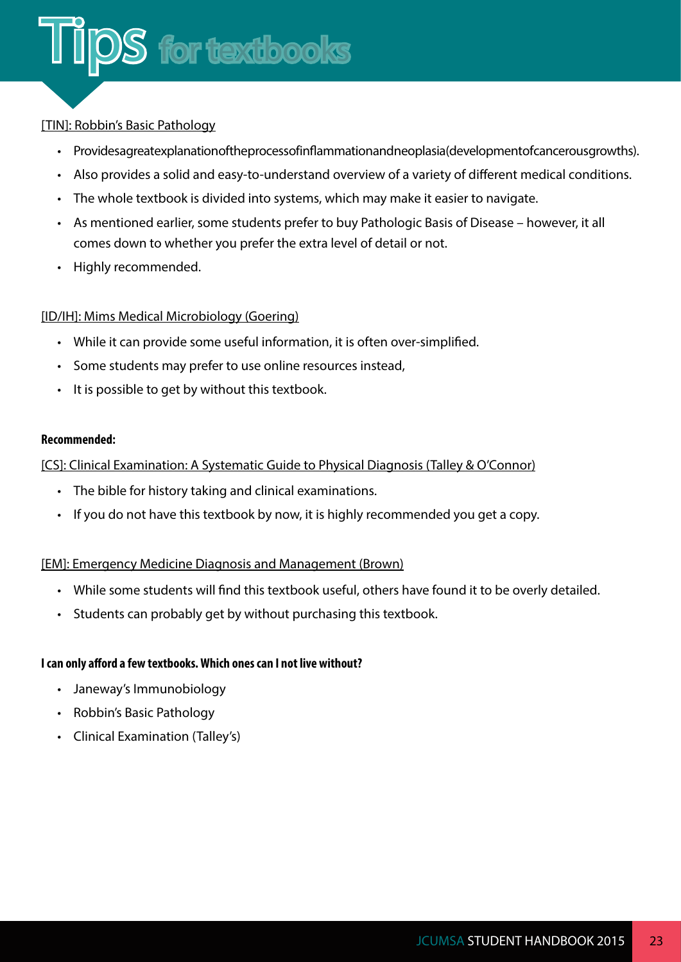#### [TIN]: Robbin's Basic Pathology

- Provides a great explanation of the process of inflammation and neoplasia (development of cancerous growths).
- Also provides a solid and easy-to-understand overview of a variety of different medical conditions.
- The whole textbook is divided into systems, which may make it easier to navigate.
- As mentioned earlier, some students prefer to buy Pathologic Basis of Disease however, it all comes down to whether you prefer the extra level of detail or not.
- Highly recommended.

#### [ID/IH]: Mims Medical Microbiology (Goering)

- While it can provide some useful information, it is often over-simplified.
- Some students may prefer to use online resources instead,
- It is possible to get by without this textbook.

#### **Recommended:**

#### [CS]: Clinical Examination: A Systematic Guide to Physical Diagnosis (Talley & O'Connor)

- The bible for history taking and clinical examinations.
- If you do not have this textbook by now, it is highly recommended you get a copy.

#### [EM]: Emergency Medicine Diagnosis and Management (Brown)

- While some students will find this textbook useful, others have found it to be overly detailed.
- Students can probably get by without purchasing this textbook.

#### **I can only afford a few textbooks. Which ones can I not live without?**

- Janeway's Immunobiology
- Robbin's Basic Pathology
- Clinical Examination (Talley's)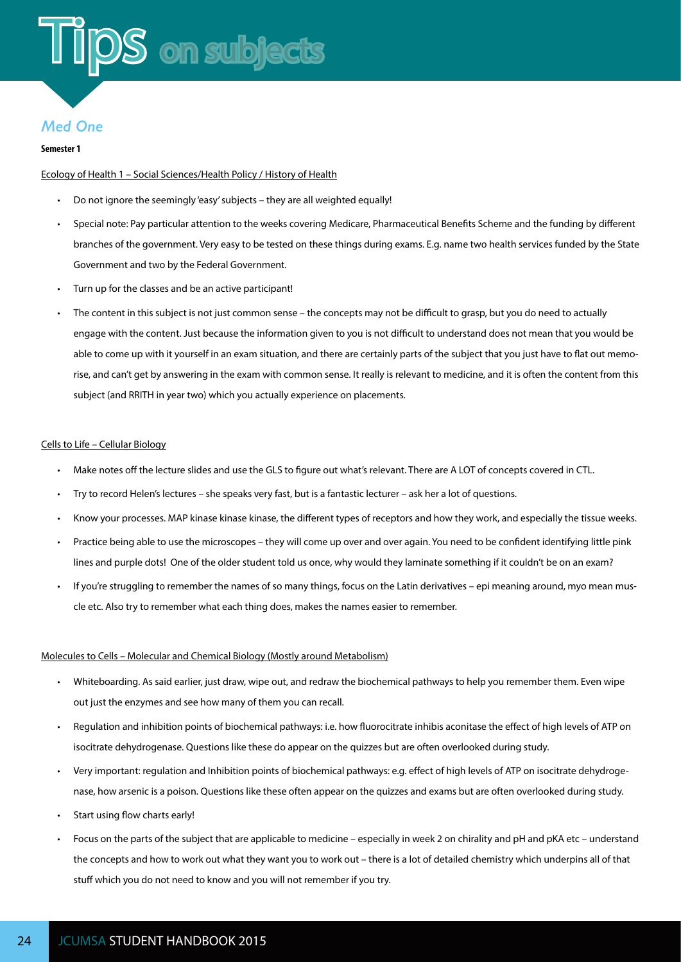#### <span id="page-26-0"></span>*Med One*

#### **Semester 1**

#### Ecology of Health 1 – Social Sciences/Health Policy / History of Health

- Do not ignore the seemingly 'easy' subjects they are all weighted equally!
- Special note: Pay particular attention to the weeks covering Medicare, Pharmaceutical Benefits Scheme and the funding by different branches of the government. Very easy to be tested on these things during exams. E.g. name two health services funded by the State Government and two by the Federal Government.
- Turn up for the classes and be an active participant!
- The content in this subject is not just common sense the concepts may not be difficult to grasp, but you do need to actually engage with the content. Just because the information given to you is not difficult to understand does not mean that you would be able to come up with it yourself in an exam situation, and there are certainly parts of the subject that you just have to flat out memorise, and can't get by answering in the exam with common sense. It really is relevant to medicine, and it is often the content from this subject (and RRITH in year two) which you actually experience on placements.

#### Cells to Life – Cellular Biology

- Make notes off the lecture slides and use the GLS to figure out what's relevant. There are A LOT of concepts covered in CTL.
- Try to record Helen's lectures she speaks very fast, but is a fantastic lecturer ask her a lot of questions.
- Know your processes. MAP kinase kinase kinase, the different types of receptors and how they work, and especially the tissue weeks.
- Practice being able to use the microscopes they will come up over and over again. You need to be confident identifying little pink lines and purple dots! One of the older student told us once, why would they laminate something if it couldn't be on an exam?
- If you're struggling to remember the names of so many things, focus on the Latin derivatives epi meaning around, myo mean muscle etc. Also try to remember what each thing does, makes the names easier to remember.

#### Molecules to Cells – Molecular and Chemical Biology (Mostly around Metabolism)

- Whiteboarding. As said earlier, just draw, wipe out, and redraw the biochemical pathways to help you remember them. Even wipe out just the enzymes and see how many of them you can recall.
- Regulation and inhibition points of biochemical pathways: i.e. how fluorocitrate inhibis aconitase the effect of high levels of ATP on isocitrate dehydrogenase. Questions like these do appear on the quizzes but are often overlooked during study.
- Very important: regulation and Inhibition points of biochemical pathways: e.g. effect of high levels of ATP on isocitrate dehydrogenase, how arsenic is a poison. Questions like these often appear on the quizzes and exams but are often overlooked during study.
- Start using flow charts early!
- Focus on the parts of the subject that are applicable to medicine especially in week 2 on chirality and pH and pKA etc understand the concepts and how to work out what they want you to work out – there is a lot of detailed chemistry which underpins all of that stuff which you do not need to know and you will not remember if you try.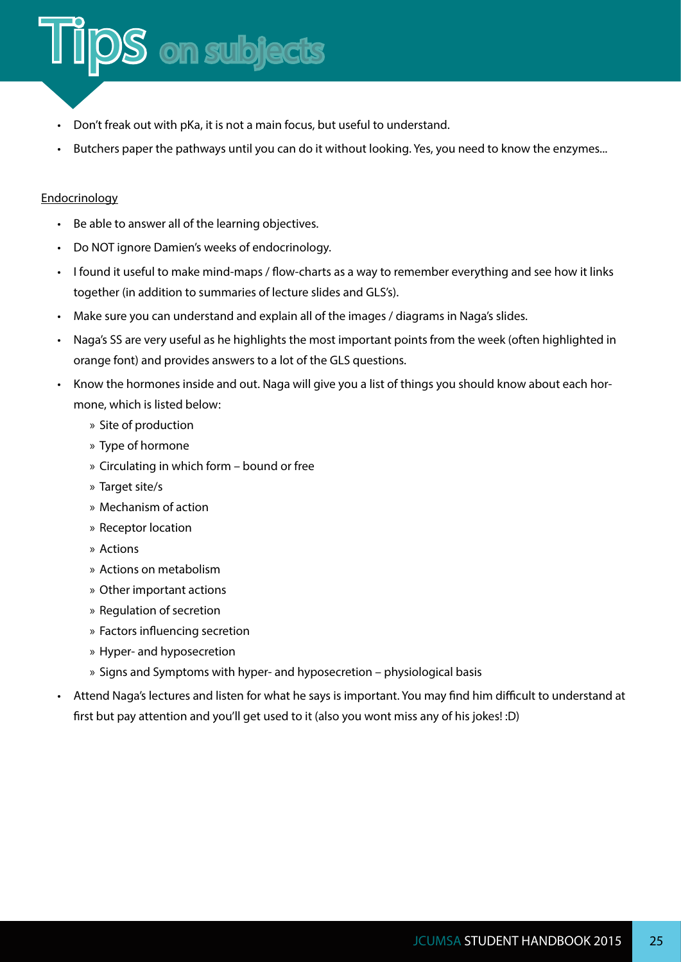

 $\mathsf{DS}$  on subjects

• Butchers paper the pathways until you can do it without looking. Yes, you need to know the enzymes...

#### Endocrinology

- Be able to answer all of the learning objectives.
- Do NOT ignore Damien's weeks of endocrinology.
- I found it useful to make mind-maps / flow-charts as a way to remember everything and see how it links together (in addition to summaries of lecture slides and GLS's).
- Make sure you can understand and explain all of the images / diagrams in Naga's slides.
- Naga's SS are very useful as he highlights the most important points from the week (often highlighted in orange font) and provides answers to a lot of the GLS questions.
- Know the hormones inside and out. Naga will give you a list of things you should know about each hormone, which is listed below:
	- » Site of production
	- » Type of hormone
	- » Circulating in which form bound or free
	- » Target site/s
	- » Mechanism of action
	- » Receptor location
	- » Actions
	- » Actions on metabolism
	- » Other important actions
	- » Regulation of secretion
	- » Factors influencing secretion
	- » Hyper- and hyposecretion
	- » Signs and Symptoms with hyper- and hyposecretion physiological basis
- Attend Naga's lectures and listen for what he says is important. You may find him difficult to understand at first but pay attention and you'll get used to it (also you wont miss any of his jokes! :D)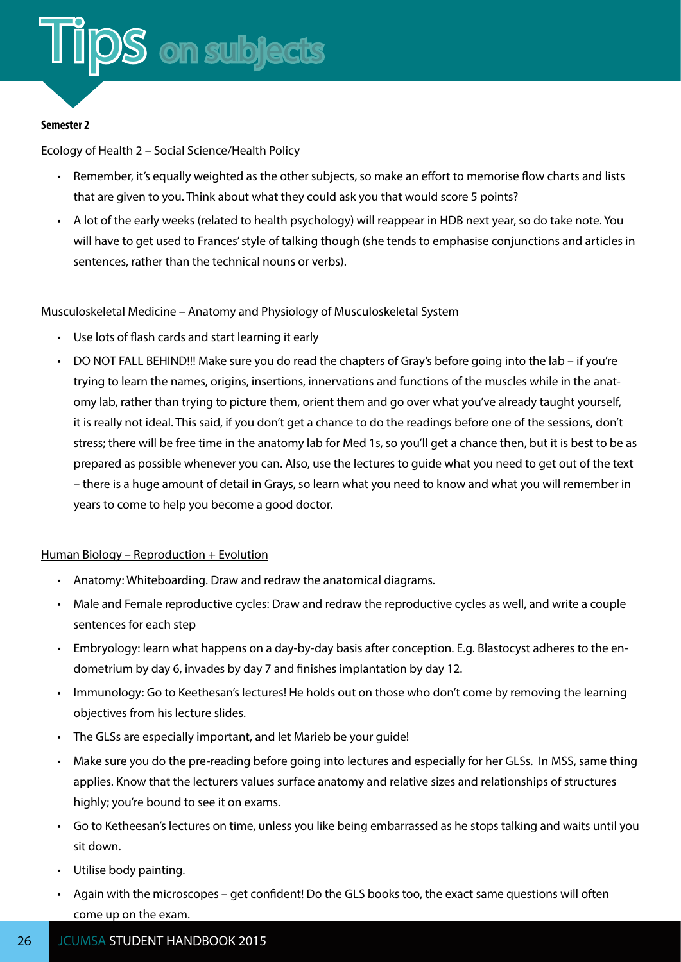#### **Semester 2**

#### Ecology of Health 2 – Social Science/Health Policy

- Remember, it's equally weighted as the other subjects, so make an effort to memorise flow charts and lists that are given to you. Think about what they could ask you that would score 5 points?
- A lot of the early weeks (related to health psychology) will reappear in HDB next year, so do take note. You will have to get used to Frances' style of talking though (she tends to emphasise conjunctions and articles in sentences, rather than the technical nouns or verbs).

#### Musculoskeletal Medicine – Anatomy and Physiology of Musculoskeletal System

- Use lots of flash cards and start learning it early
- DO NOT FALL BEHIND!!! Make sure you do read the chapters of Gray's before going into the lab if you're trying to learn the names, origins, insertions, innervations and functions of the muscles while in the anatomy lab, rather than trying to picture them, orient them and go over what you've already taught yourself, it is really not ideal. This said, if you don't get a chance to do the readings before one of the sessions, don't stress; there will be free time in the anatomy lab for Med 1s, so you'll get a chance then, but it is best to be as prepared as possible whenever you can. Also, use the lectures to guide what you need to get out of the text – there is a huge amount of detail in Grays, so learn what you need to know and what you will remember in years to come to help you become a good doctor.

#### Human Biology – Reproduction + Evolution

- Anatomy: Whiteboarding. Draw and redraw the anatomical diagrams.
- Male and Female reproductive cycles: Draw and redraw the reproductive cycles as well, and write a couple sentences for each step
- Embryology: learn what happens on a day-by-day basis after conception. E.g. Blastocyst adheres to the endometrium by day 6, invades by day 7 and finishes implantation by day 12.
- Immunology: Go to Keethesan's lectures! He holds out on those who don't come by removing the learning objectives from his lecture slides.
- The GLSs are especially important, and let Marieb be your guide!
- Make sure you do the pre-reading before going into lectures and especially for her GLSs. In MSS, same thing applies. Know that the lecturers values surface anatomy and relative sizes and relationships of structures highly; you're bound to see it on exams.
- Go to Ketheesan's lectures on time, unless you like being embarrassed as he stops talking and waits until you sit down.
- Utilise body painting.
- Again with the microscopes get confident! Do the GLS books too, the exact same questions will often come up on the exam.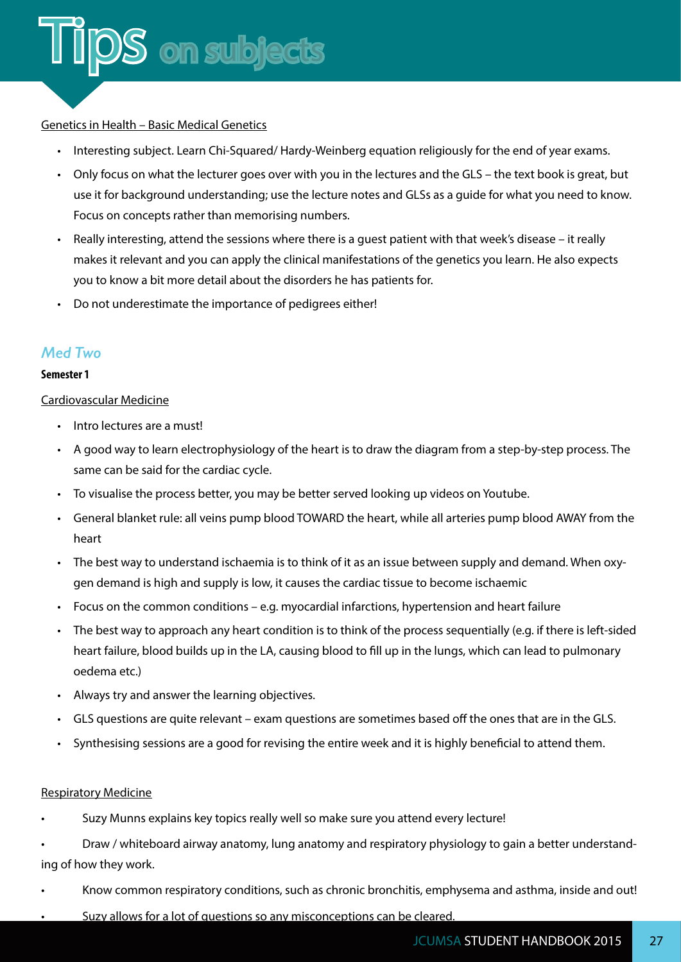#### Genetics in Health – Basic Medical Genetics

- Interesting subject. Learn Chi-Squared/ Hardy-Weinberg equation religiously for the end of year exams.
- Only focus on what the lecturer goes over with you in the lectures and the GLS the text book is great, but use it for background understanding; use the lecture notes and GLSs as a guide for what you need to know. Focus on concepts rather than memorising numbers.
- Really interesting, attend the sessions where there is a guest patient with that week's disease it really makes it relevant and you can apply the clinical manifestations of the genetics you learn. He also expects you to know a bit more detail about the disorders he has patients for.
- Do not underestimate the importance of pedigrees either!

#### *Med Two*

#### **Semester 1**

#### Cardiovascular Medicine

- Intro lectures are a must!
- A good way to learn electrophysiology of the heart is to draw the diagram from a step-by-step process. The same can be said for the cardiac cycle.
- To visualise the process better, you may be better served looking up videos on Youtube.
- General blanket rule: all veins pump blood TOWARD the heart, while all arteries pump blood AWAY from the heart
- The best way to understand ischaemia is to think of it as an issue between supply and demand. When oxygen demand is high and supply is low, it causes the cardiac tissue to become ischaemic
- Focus on the common conditions e.g. myocardial infarctions, hypertension and heart failure
- The best way to approach any heart condition is to think of the process sequentially (e.g. if there is left-sided heart failure, blood builds up in the LA, causing blood to fill up in the lungs, which can lead to pulmonary oedema etc.)
- Always try and answer the learning objectives.
- GLS questions are quite relevant exam questions are sometimes based off the ones that are in the GLS.
- Synthesising sessions are a good for revising the entire week and it is highly beneficial to attend them.

#### Respiratory Medicine

- Suzy Munns explains key topics really well so make sure you attend every lecture!
- Draw / whiteboard airway anatomy, lung anatomy and respiratory physiology to gain a better understanding of how they work.
- Know common respiratory conditions, such as chronic bronchitis, emphysema and asthma, inside and out!
- Suzy allows for a lot of questions so any misconceptions can be cleared.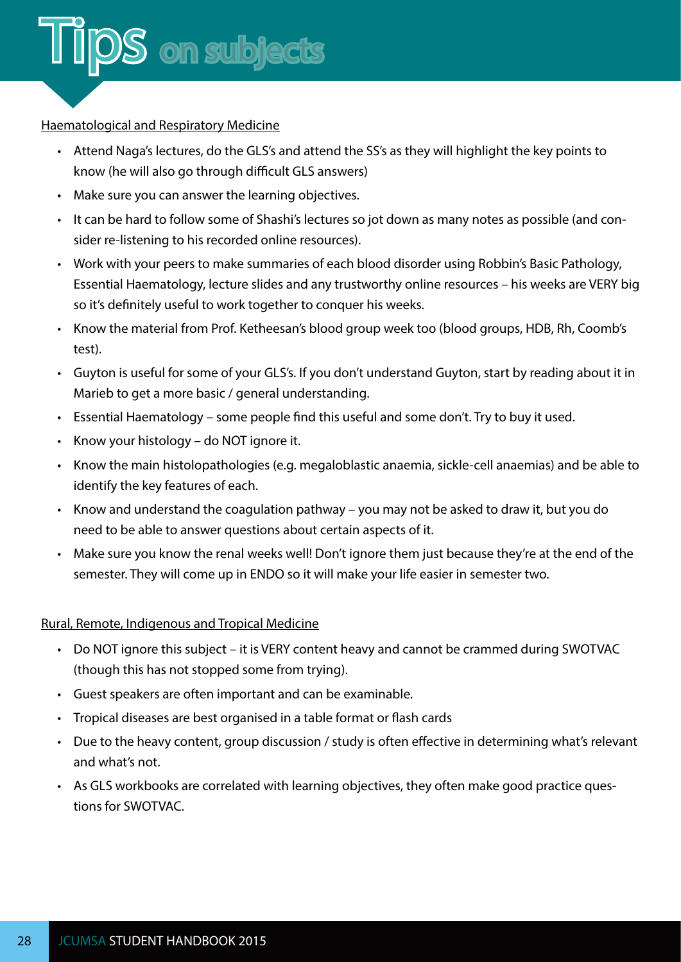

#### Haematological and Respiratory Medicine

- Attend Naga's lectures, do the GLS's and attend the SS's as they will highlight the key points to know (he will also go through difficult GLS answers)
- Make sure you can answer the learning objectives.
- It can be hard to follow some of Shashi's lectures so jot down as many notes as possible (and consider re-listening to his recorded online resources).
- Work with your peers to make summaries of each blood disorder using Robbin's Basic Pathology, Essential Haematology, lecture slides and any trustworthy online resources – his weeks are VERY big so it's definitely useful to work together to conquer his weeks.
- Know the material from Prof. Ketheesan's blood group week too (blood groups, HDB, Rh, Coomb's test).
- Guyton is useful for some of your GLS's. If you don't understand Guyton, start by reading about it in Marieb to get a more basic / general understanding.
- Essential Haematology some people find this useful and some don't. Try to buy it used.
- Know your histology do NOT ignore it.
- Know the main histolopathologies (e.g. megaloblastic anaemia, sickle-cell anaemias) and be able to identify the key features of each.
- Know and understand the coagulation pathway you may not be asked to draw it, but you do need to be able to answer questions about certain aspects of it.
- Make sure you know the renal weeks well! Don't ignore them just because they're at the end of the semester. They will come up in ENDO so it will make your life easier in semester two.

#### Rural, Remote, Indigenous and Tropical Medicine

- Do NOT ignore this subject it is VERY content heavy and cannot be crammed during SWOTVAC (though this has not stopped some from trying).
- Guest speakers are often important and can be examinable.
- Tropical diseases are best organised in a table format or flash cards
- Due to the heavy content, group discussion / study is often effective in determining what's relevant and what's not.
- As GLS workbooks are correlated with learning objectives, they often make good practice questions for SWOTVAC.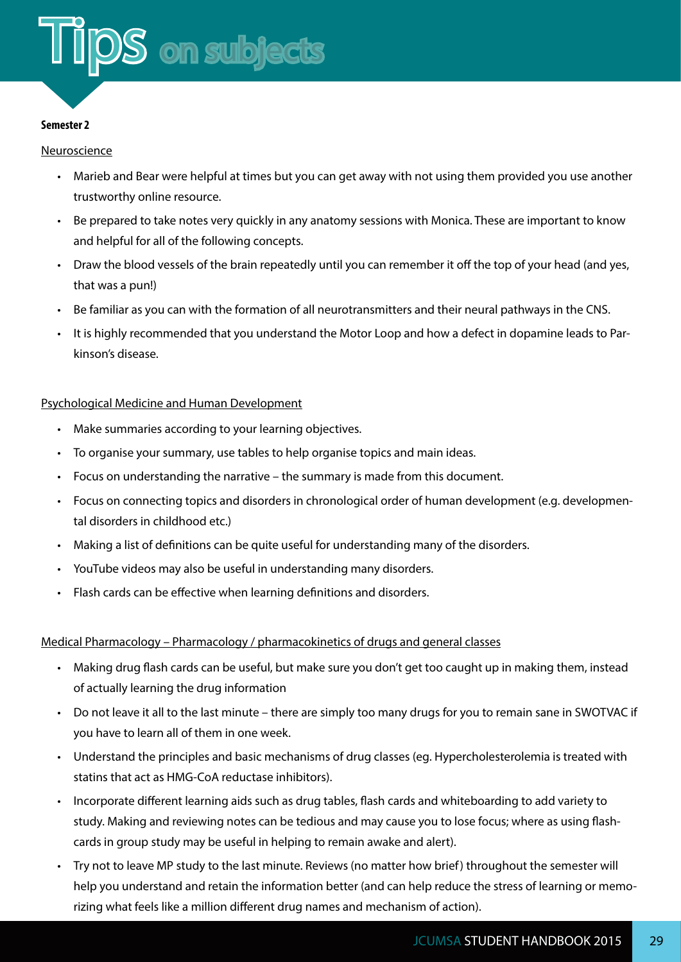

#### **Semester 2**

#### Neuroscience

- Marieb and Bear were helpful at times but you can get away with not using them provided you use another trustworthy online resource.
- Be prepared to take notes very quickly in any anatomy sessions with Monica. These are important to know and helpful for all of the following concepts.
- Draw the blood vessels of the brain repeatedly until you can remember it off the top of your head (and yes, that was a pun!)
- Be familiar as you can with the formation of all neurotransmitters and their neural pathways in the CNS.
- It is highly recommended that you understand the Motor Loop and how a defect in dopamine leads to Parkinson's disease.

#### Psychological Medicine and Human Development

- Make summaries according to your learning objectives.
- To organise your summary, use tables to help organise topics and main ideas.
- Focus on understanding the narrative the summary is made from this document.
- Focus on connecting topics and disorders in chronological order of human development (e.g. developmental disorders in childhood etc.)
- Making a list of definitions can be quite useful for understanding many of the disorders.
- YouTube videos may also be useful in understanding many disorders.
- Flash cards can be effective when learning definitions and disorders.

#### Medical Pharmacology – Pharmacology / pharmacokinetics of drugs and general classes

- Making drug flash cards can be useful, but make sure you don't get too caught up in making them, instead of actually learning the drug information
- Do not leave it all to the last minute there are simply too many drugs for you to remain sane in SWOTVAC if you have to learn all of them in one week.
- Understand the principles and basic mechanisms of drug classes (eg. Hypercholesterolemia is treated with statins that act as HMG-CoA reductase inhibitors).
- Incorporate different learning aids such as drug tables, flash cards and whiteboarding to add variety to study. Making and reviewing notes can be tedious and may cause you to lose focus; where as using flashcards in group study may be useful in helping to remain awake and alert).
- Try not to leave MP study to the last minute. Reviews (no matter how brief) throughout the semester will help you understand and retain the information better (and can help reduce the stress of learning or memorizing what feels like a million different drug names and mechanism of action).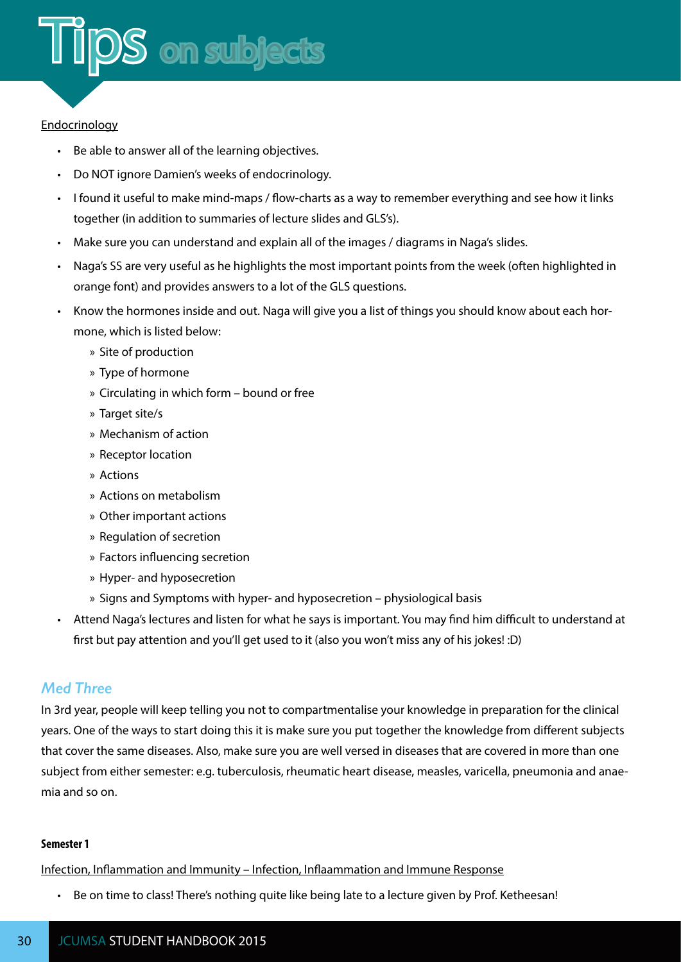#### **Endocrinology**

- Be able to answer all of the learning objectives.
- Do NOT ignore Damien's weeks of endocrinology.
- I found it useful to make mind-maps / flow-charts as a way to remember everything and see how it links together (in addition to summaries of lecture slides and GLS's).
- Make sure you can understand and explain all of the images / diagrams in Naga's slides.
- Naga's SS are very useful as he highlights the most important points from the week (often highlighted in orange font) and provides answers to a lot of the GLS questions.
- Know the hormones inside and out. Naga will give you a list of things you should know about each hormone, which is listed below:
	- » Site of production
	- » Type of hormone
	- » Circulating in which form bound or free
	- » Target site/s
	- » Mechanism of action
	- » Receptor location
	- » Actions
	- » Actions on metabolism
	- » Other important actions
	- » Regulation of secretion
	- » Factors influencing secretion
	- » Hyper- and hyposecretion
	- » Signs and Symptoms with hyper- and hyposecretion physiological basis
- Attend Naga's lectures and listen for what he says is important. You may find him difficult to understand at first but pay attention and you'll get used to it (also you won't miss any of his jokes! :D)

#### *Med Three*

In 3rd year, people will keep telling you not to compartmentalise your knowledge in preparation for the clinical years. One of the ways to start doing this it is make sure you put together the knowledge from different subjects that cover the same diseases. Also, make sure you are well versed in diseases that are covered in more than one subject from either semester: e.g. tuberculosis, rheumatic heart disease, measles, varicella, pneumonia and anaemia and so on.

#### **Semester 1**

Infection, Inflammation and Immunity – Infection, Inflaammation and Immune Response

• Be on time to class! There's nothing quite like being late to a lecture given by Prof. Ketheesan!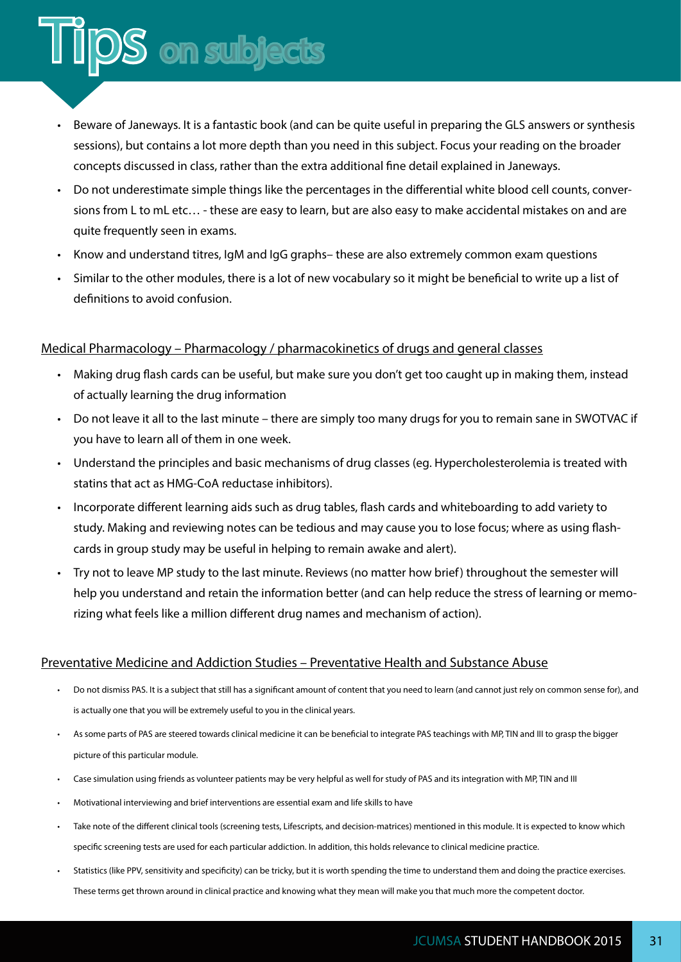#### • Beware of Janeways. It is a fantastic book (and can be quite useful in preparing the GLS answers or synthesis sessions), but contains a lot more depth than you need in this subject. Focus your reading on the broader concepts discussed in class, rather than the extra additional fine detail explained in Janeways.

- Do not underestimate simple things like the percentages in the differential white blood cell counts, conversions from L to mL etc… - these are easy to learn, but are also easy to make accidental mistakes on and are quite frequently seen in exams.
- Know and understand titres, IgM and IgG graphs– these are also extremely common exam questions
- Similar to the other modules, there is a lot of new vocabulary so it might be beneficial to write up a list of definitions to avoid confusion.

#### Medical Pharmacology – Pharmacology / pharmacokinetics of drugs and general classes

IDS on subjects

- Making drug flash cards can be useful, but make sure you don't get too caught up in making them, instead of actually learning the drug information
- Do not leave it all to the last minute there are simply too many drugs for you to remain sane in SWOTVAC if you have to learn all of them in one week.
- Understand the principles and basic mechanisms of drug classes (eg. Hypercholesterolemia is treated with statins that act as HMG-CoA reductase inhibitors).
- Incorporate different learning aids such as drug tables, flash cards and whiteboarding to add variety to study. Making and reviewing notes can be tedious and may cause you to lose focus; where as using flashcards in group study may be useful in helping to remain awake and alert).
- Try not to leave MP study to the last minute. Reviews (no matter how brief) throughout the semester will help you understand and retain the information better (and can help reduce the stress of learning or memorizing what feels like a million different drug names and mechanism of action).

#### Preventative Medicine and Addiction Studies – Preventative Health and Substance Abuse

- Do not dismiss PAS. It is a subject that still has a significant amount of content that you need to learn (and cannot just rely on common sense for), and is actually one that you will be extremely useful to you in the clinical years.
- As some parts of PAS are steered towards clinical medicine it can be beneficial to integrate PAS teachings with MP, TIN and III to grasp the bigger picture of this particular module.
- Case simulation using friends as volunteer patients may be very helpful as well for study of PAS and its integration with MP, TIN and III
- Motivational interviewing and brief interventions are essential exam and life skills to have
- Take note of the different clinical tools (screening tests, Lifescripts, and decision-matrices) mentioned in this module. It is expected to know which specific screening tests are used for each particular addiction. In addition, this holds relevance to clinical medicine practice.
- Statistics (like PPV, sensitivity and specificity) can be tricky, but it is worth spending the time to understand them and doing the practice exercises. These terms get thrown around in clinical practice and knowing what they mean will make you that much more the competent doctor.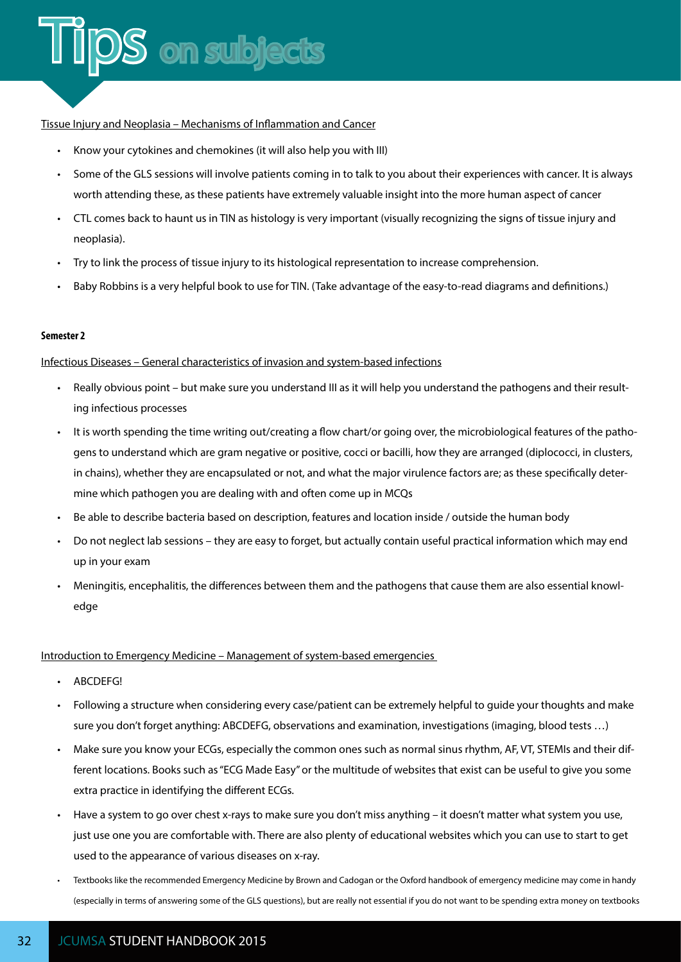#### Tissue Injury and Neoplasia – Mechanisms of Inflammation and Cancer

- Know your cytokines and chemokines (it will also help you with III)
- Some of the GLS sessions will involve patients coming in to talk to you about their experiences with cancer. It is always worth attending these, as these patients have extremely valuable insight into the more human aspect of cancer
- CTL comes back to haunt us in TIN as histology is very important (visually recognizing the signs of tissue injury and neoplasia).
- Try to link the process of tissue injury to its histological representation to increase comprehension.
- Baby Robbins is a very helpful book to use for TIN. (Take advantage of the easy-to-read diagrams and definitions.)

#### **Semester 2**

#### Infectious Diseases – General characteristics of invasion and system-based infections

- Really obvious point but make sure you understand III as it will help you understand the pathogens and their resulting infectious processes
- It is worth spending the time writing out/creating a flow chart/or going over, the microbiological features of the pathogens to understand which are gram negative or positive, cocci or bacilli, how they are arranged (diplococci, in clusters, in chains), whether they are encapsulated or not, and what the major virulence factors are; as these specifically determine which pathogen you are dealing with and often come up in MCQs
- Be able to describe bacteria based on description, features and location inside / outside the human body
- Do not neglect lab sessions they are easy to forget, but actually contain useful practical information which may end up in your exam
- Meningitis, encephalitis, the differences between them and the pathogens that cause them are also essential knowledge

#### Introduction to Emergency Medicine – Management of system-based emergencies

- ABCDEFG!
- Following a structure when considering every case/patient can be extremely helpful to guide your thoughts and make sure you don't forget anything: ABCDEFG, observations and examination, investigations (imaging, blood tests …)
- Make sure you know your ECGs, especially the common ones such as normal sinus rhythm, AF, VT, STEMIs and their different locations. Books such as "ECG Made Easy" or the multitude of websites that exist can be useful to give you some extra practice in identifying the different ECGs.
- Have a system to go over chest x-rays to make sure you don't miss anything it doesn't matter what system you use, just use one you are comfortable with. There are also plenty of educational websites which you can use to start to get used to the appearance of various diseases on x-ray.
- Textbooks like the recommended Emergency Medicine by Brown and Cadogan or the Oxford handbook of emergency medicine may come in handy (especially in terms of answering some of the GLS questions), but are really not essential if you do not want to be spending extra money on textbooks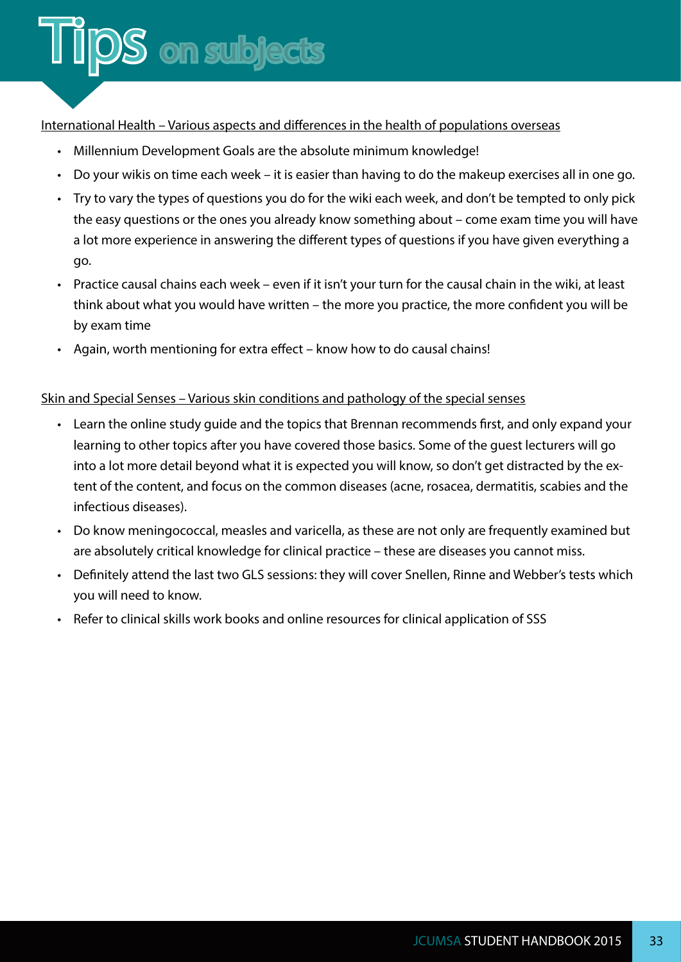#### International Health – Various aspects and differences in the health of populations overseas

- Millennium Development Goals are the absolute minimum knowledge!
- Do your wikis on time each week it is easier than having to do the makeup exercises all in one go.
- Try to vary the types of questions you do for the wiki each week, and don't be tempted to only pick the easy questions or the ones you already know something about – come exam time you will have a lot more experience in answering the different types of questions if you have given everything a go.
- Practice causal chains each week even if it isn't your turn for the causal chain in the wiki, at least think about what you would have written – the more you practice, the more confident you will be by exam time
- Again, worth mentioning for extra effect know how to do causal chains!

#### Skin and Special Senses – Various skin conditions and pathology of the special senses

- Learn the online study guide and the topics that Brennan recommends first, and only expand your learning to other topics after you have covered those basics. Some of the guest lecturers will go into a lot more detail beyond what it is expected you will know, so don't get distracted by the extent of the content, and focus on the common diseases (acne, rosacea, dermatitis, scabies and the infectious diseases).
- Do know meningococcal, measles and varicella, as these are not only are frequently examined but are absolutely critical knowledge for clinical practice – these are diseases you cannot miss.
- Definitely attend the last two GLS sessions: they will cover Snellen, Rinne and Webber's tests which you will need to know.
- Refer to clinical skills work books and online resources for clinical application of SSS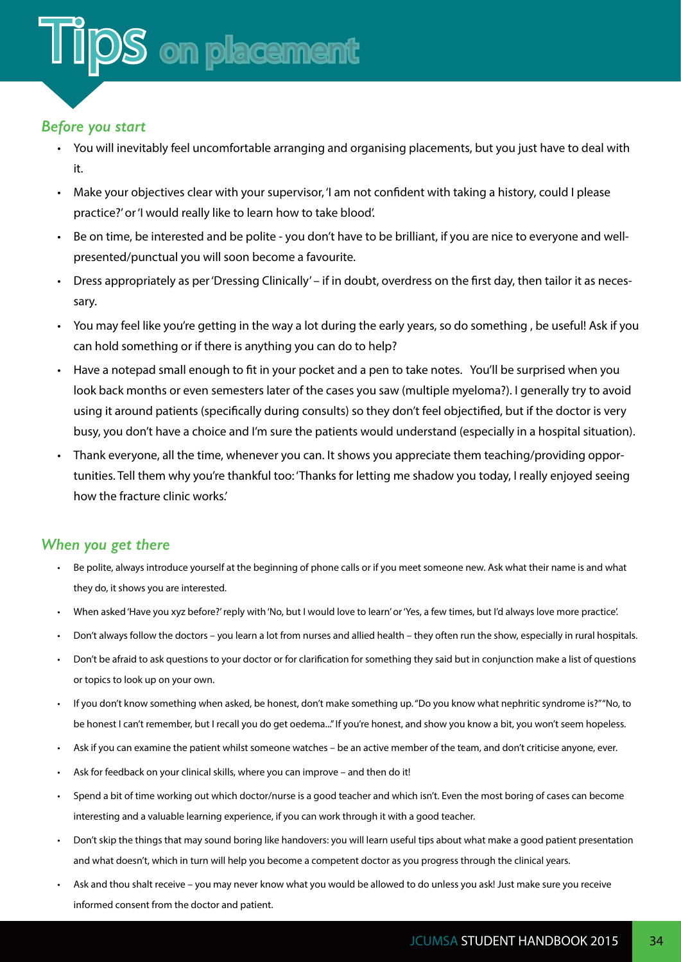#### <span id="page-36-0"></span>*Before you start*

- You will inevitably feel uncomfortable arranging and organising placements, but you just have to deal with it.
- Make your objectives clear with your supervisor, 'I am not confident with taking a history, could I please practice?' or 'I would really like to learn how to take blood'.
- Be on time, be interested and be polite you don't have to be brilliant, if you are nice to everyone and wellpresented/punctual you will soon become a favourite.
- Dress appropriately as per 'Dressing Clinically' if in doubt, overdress on the first day, then tailor it as necessary.
- You may feel like you're getting in the way a lot during the early years, so do something , be useful! Ask if you can hold something or if there is anything you can do to help?
- Have a notepad small enough to fit in your pocket and a pen to take notes. You'll be surprised when you look back months or even semesters later of the cases you saw (multiple myeloma?). I generally try to avoid using it around patients (specifically during consults) so they don't feel objectified, but if the doctor is very busy, you don't have a choice and I'm sure the patients would understand (especially in a hospital situation).
- Thank everyone, all the time, whenever you can. It shows you appreciate them teaching/providing opportunities. Tell them why you're thankful too: 'Thanks for letting me shadow you today, I really enjoyed seeing how the fracture clinic works.'

#### *When you get there*

- Be polite, always introduce yourself at the beginning of phone calls or if you meet someone new. Ask what their name is and what they do, it shows you are interested.
- When asked 'Have you xyz before?' reply with 'No, but I would love to learn' or 'Yes, a few times, but I'd always love more practice'.
- Don't always follow the doctors you learn a lot from nurses and allied health they often run the show, especially in rural hospitals.
- Don't be afraid to ask questions to your doctor or for clarification for something they said but in conjunction make a list of questions or topics to look up on your own.
- If you don't know something when asked, be honest, don't make something up. "Do you know what nephritic syndrome is?" "No, to be honest I can't remember, but I recall you do get oedema..." If you're honest, and show you know a bit, you won't seem hopeless.
- Ask if you can examine the patient whilst someone watches be an active member of the team, and don't criticise anyone, ever.
- Ask for feedback on your clinical skills, where you can improve and then do it!
- Spend a bit of time working out which doctor/nurse is a good teacher and which isn't. Even the most boring of cases can become interesting and a valuable learning experience, if you can work through it with a good teacher.
- Don't skip the things that may sound boring like handovers: you will learn useful tips about what make a good patient presentation and what doesn't, which in turn will help you become a competent doctor as you progress through the clinical years.
- Ask and thou shalt receive you may never know what you would be allowed to do unless you ask! Just make sure you receive informed consent from the doctor and patient.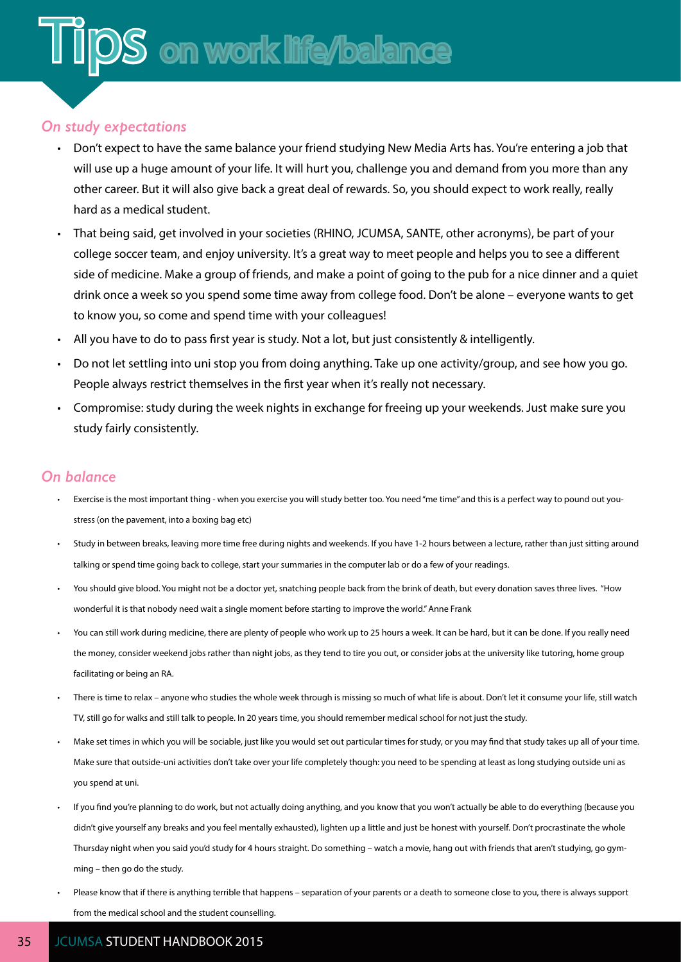#### <span id="page-37-0"></span>*On study expectations*

- Don't expect to have the same balance your friend studying New Media Arts has. You're entering a job that will use up a huge amount of your life. It will hurt you, challenge you and demand from you more than any other career. But it will also give back a great deal of rewards. So, you should expect to work really, really hard as a medical student.
- That being said, get involved in your societies (RHINO, JCUMSA, SANTE, other acronyms), be part of your college soccer team, and enjoy university. It's a great way to meet people and helps you to see a different side of medicine. Make a group of friends, and make a point of going to the pub for a nice dinner and a quiet drink once a week so you spend some time away from college food. Don't be alone – everyone wants to get to know you, so come and spend time with your colleagues!
- All you have to do to pass first year is study. Not a lot, but just consistently & intelligently.
- Do not let settling into uni stop you from doing anything. Take up one activity/group, and see how you go. People always restrict themselves in the first year when it's really not necessary.
- Compromise: study during the week nights in exchange for freeing up your weekends. Just make sure you study fairly consistently.

#### *On balance*

- Exercise is the most important thing when you exercise you will study better too. You need "me time" and this is a perfect way to pound out youstress (on the pavement, into a boxing bag etc)
- Study in between breaks, leaving more time free during nights and weekends. If you have 1-2 hours between a lecture, rather than just sitting around talking or spend time going back to college, start your summaries in the computer lab or do a few of your readings.
- You should give blood. You might not be a doctor yet, snatching people back from the brink of death, but every donation saves three lives. "How wonderful it is that nobody need wait a single moment before starting to improve the world." Anne Frank
- You can still work during medicine, there are plenty of people who work up to 25 hours a week. It can be hard, but it can be done. If you really need the money, consider weekend jobs rather than night jobs, as they tend to tire you out, or consider jobs at the university like tutoring, home group facilitating or being an RA.
- There is time to relax anyone who studies the whole week through is missing so much of what life is about. Don't let it consume your life, still watch TV, still go for walks and still talk to people. In 20 years time, you should remember medical school for not just the study.
- Make set times in which you will be sociable, just like you would set out particular times for study, or you may find that study takes up all of your time. Make sure that outside-uni activities don't take over your life completely though: you need to be spending at least as long studying outside uni as you spend at uni.
- If you find you're planning to do work, but not actually doing anything, and you know that you won't actually be able to do everything (because you didn't give yourself any breaks and you feel mentally exhausted), lighten up a little and just be honest with yourself. Don't procrastinate the whole Thursday night when you said you'd study for 4 hours straight. Do something – watch a movie, hang out with friends that aren't studying, go gymming – then go do the study.
- Please know that if there is anything terrible that happens separation of your parents or a death to someone close to you, there is always support from the medical school and the student counselling.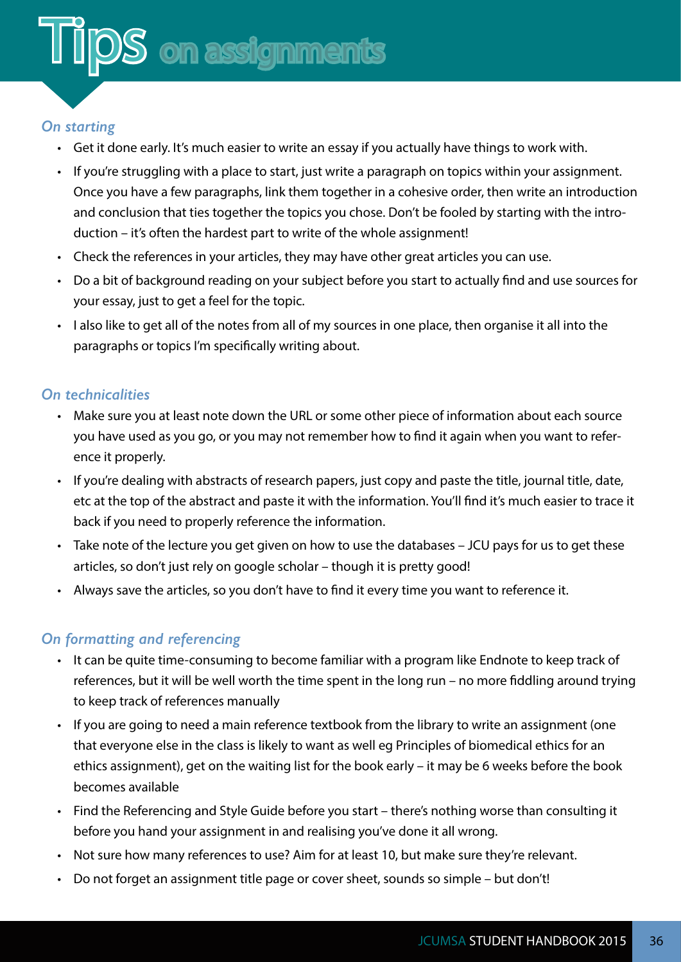#### <span id="page-38-0"></span>*On starting*

- Get it done early. It's much easier to write an essay if you actually have things to work with.
- If you're struggling with a place to start, just write a paragraph on topics within your assignment. Once you have a few paragraphs, link them together in a cohesive order, then write an introduction and conclusion that ties together the topics you chose. Don't be fooled by starting with the introduction – it's often the hardest part to write of the whole assignment!
- Check the references in your articles, they may have other great articles you can use.
- Do a bit of background reading on your subject before you start to actually find and use sources for your essay, just to get a feel for the topic.
- I also like to get all of the notes from all of my sources in one place, then organise it all into the paragraphs or topics I'm specifically writing about.

#### *On technicalities*

- Make sure you at least note down the URL or some other piece of information about each source you have used as you go, or you may not remember how to find it again when you want to reference it properly.
- If you're dealing with abstracts of research papers, just copy and paste the title, journal title, date, etc at the top of the abstract and paste it with the information. You'll find it's much easier to trace it back if you need to properly reference the information.
- Take note of the lecture you get given on how to use the databases JCU pays for us to get these articles, so don't just rely on google scholar – though it is pretty good!
- Always save the articles, so you don't have to find it every time you want to reference it.

#### *On formatting and referencing*

- It can be quite time-consuming to become familiar with a program like Endnote to keep track of references, but it will be well worth the time spent in the long run – no more fiddling around trying to keep track of references manually
- If you are going to need a main reference textbook from the library to write an assignment (one that everyone else in the class is likely to want as well eg Principles of biomedical ethics for an ethics assignment), get on the waiting list for the book early – it may be 6 weeks before the book becomes available
- Find the Referencing and Style Guide before you start there's nothing worse than consulting it before you hand your assignment in and realising you've done it all wrong.
- Not sure how many references to use? Aim for at least 10, but make sure they're relevant.
- Do not forget an assignment title page or cover sheet, sounds so simple but don't!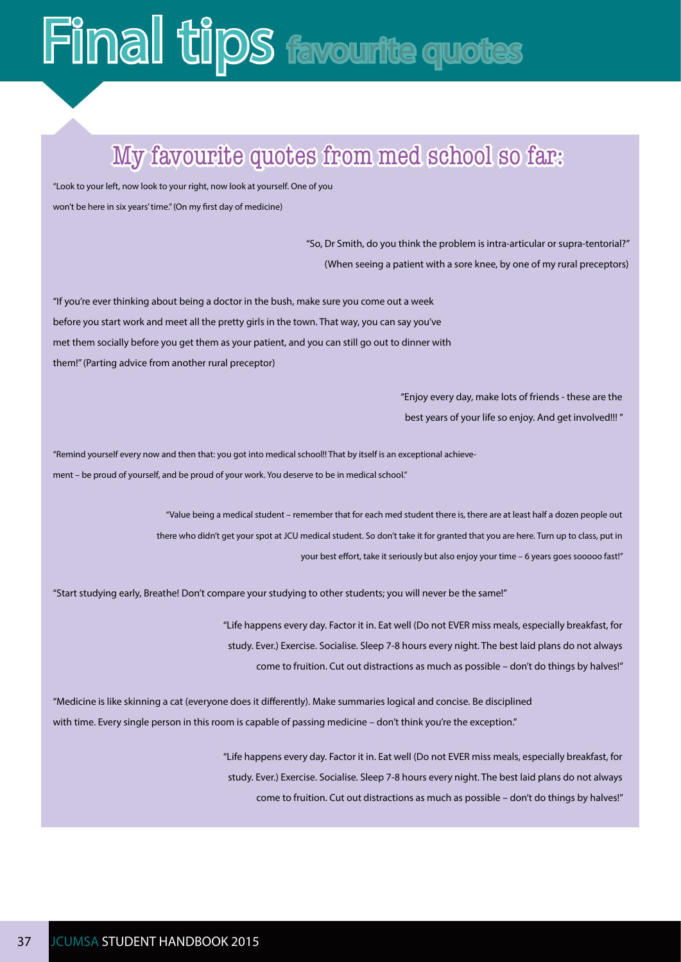## <span id="page-39-0"></span>**Final tips favourite quotes**

### My favourite quotes from med school so far:

"Look to your left, now look to your right, now look at yourself. One of you won't be here in six years' time." (On my first day of medicine)

> "So, Dr Smith, do you think the problem is intra-articular or supra-tentorial?" (When seeing a patient with a sore knee, by one of my rural preceptors)

"If you're ever thinking about being a doctor in the bush, make sure you come out a week before you start work and meet all the pretty girls in the town. That way, you can say you've met them socially before you get them as your patient, and you can still go out to dinner with them!" (Parting advice from another rural preceptor)

> "Enjoy every day, make lots of friends - these are the best years of your life so enjoy. And get involved!!! "

"Remind yourself every now and then that: you got into medical school!! That by itself is an exceptional achievement – be proud of yourself, and be proud of your work. You deserve to be in medical school."

> "Value being a medical student – remember that for each med student there is, there are at least half a dozen people out there who didn't get your spot at JCU medical student. So don't take it for granted that you are here. Turn up to class, put in your best effort, take it seriously but also enjoy your time – 6 years goes sooooo fast!"

"Start studying early, Breathe! Don't compare your studying to other students; you will never be the same!"

"Life happens every day. Factor it in. Eat well (Do not EVER miss meals, especially breakfast, for study. Ever.) Exercise. Socialise. Sleep 7-8 hours every night. The best laid plans do not always come to fruition. Cut out distractions as much as possible – don't do things by halves!"

"Medicine is like skinning a cat (everyone does it differently). Make summaries logical and concise. Be disciplined with time. Every single person in this room is capable of passing medicine – don't think you're the exception."

> "Life happens every day. Factor it in. Eat well (Do not EVER miss meals, especially breakfast, for study. Ever.) Exercise. Socialise. Sleep 7-8 hours every night. The best laid plans do not always come to fruition. Cut out distractions as much as possible – don't do things by halves!"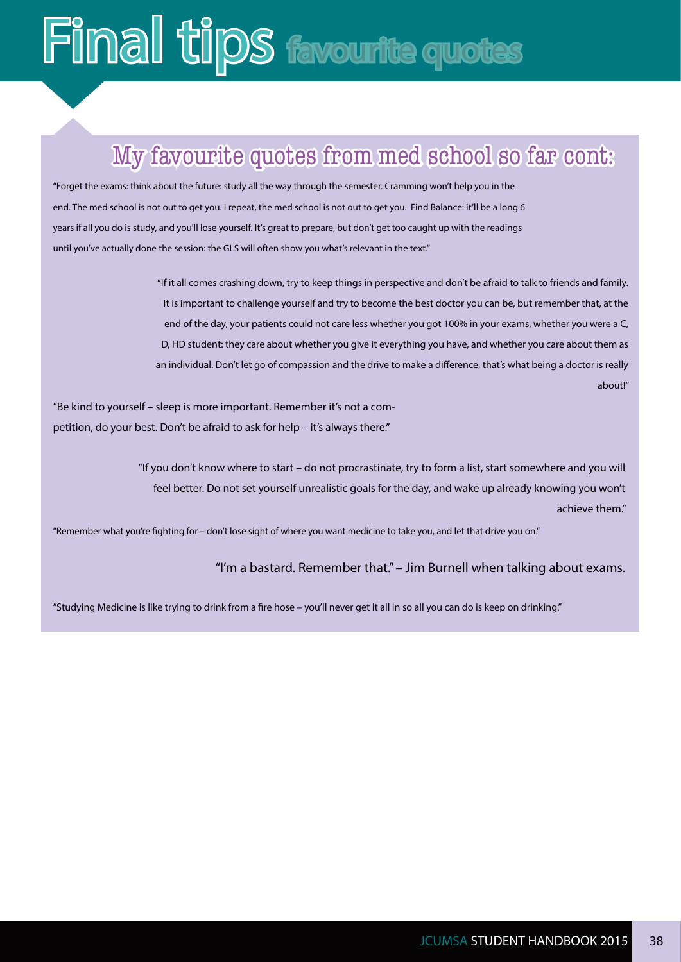## **Final tips favourite quotes**

### My favourite quotes from med school so far cont:

"Forget the exams: think about the future: study all the way through the semester. Cramming won't help you in the end. The med school is not out to get you. I repeat, the med school is not out to get you. Find Balance: it'll be a long 6 years if all you do is study, and you'll lose yourself. It's great to prepare, but don't get too caught up with the readings until you've actually done the session: the GLS will often show you what's relevant in the text."

> "If it all comes crashing down, try to keep things in perspective and don't be afraid to talk to friends and family. It is important to challenge yourself and try to become the best doctor you can be, but remember that, at the end of the day, your patients could not care less whether you got 100% in your exams, whether you were a C, D, HD student: they care about whether you give it everything you have, and whether you care about them as an individual. Don't let go of compassion and the drive to make a difference, that's what being a doctor is really about!"

"Be kind to yourself – sleep is more important. Remember it's not a competition, do your best. Don't be afraid to ask for help – it's always there."

> "If you don't know where to start – do not procrastinate, try to form a list, start somewhere and you will feel better. Do not set yourself unrealistic goals for the day, and wake up already knowing you won't achieve them."

"Remember what you're fighting for – don't lose sight of where you want medicine to take you, and let that drive you on."

#### "I'm a bastard. Remember that." – Jim Burnell when talking about exams.

"Studying Medicine is like trying to drink from a fire hose – you'll never get it all in so all you can do is keep on drinking."